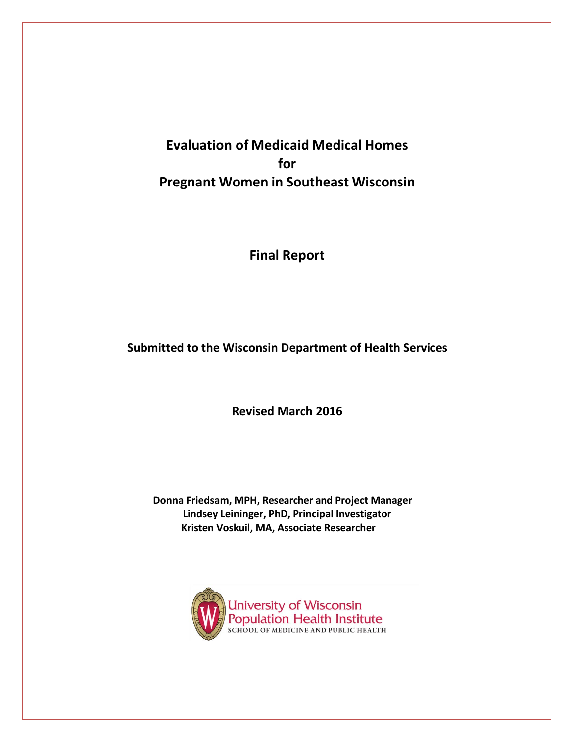**Evaluation of Medicaid Medical Homes for Pregnant Women in Southeast Wisconsin**

**Final Report**

**Submitted to the Wisconsin Department of Health Services**

**Revised March 2016**

**Donna Friedsam, MPH, Researcher and Project Manager Lindsey Leininger, PhD, Principal Investigator Kristen Voskuil, MA, Associate Researcher**

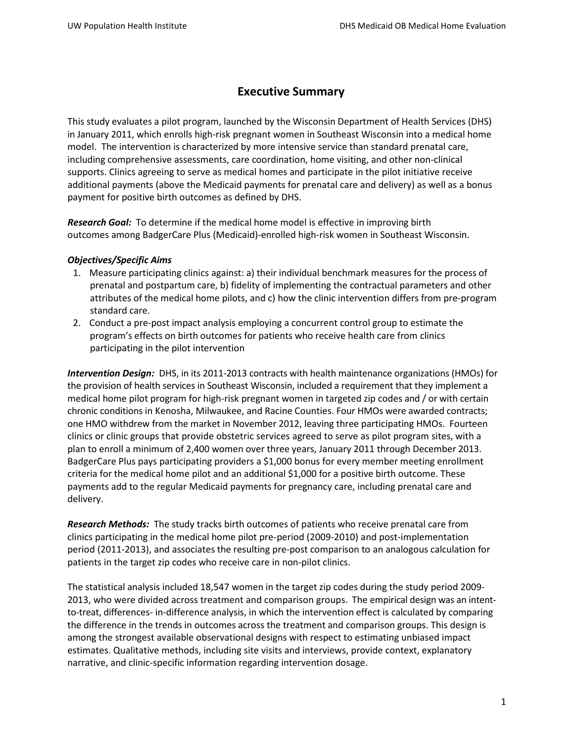# **Executive Summary**

This study evaluates a pilot program, launched by the Wisconsin Department of Health Services (DHS) in January 2011, which enrolls high-risk pregnant women in Southeast Wisconsin into a medical home model. The intervention is characterized by more intensive service than standard prenatal care, including comprehensive assessments, care coordination, home visiting, and other non-clinical supports. Clinics agreeing to serve as medical homes and participate in the pilot initiative receive additional payments (above the Medicaid payments for prenatal care and delivery) as well as a bonus payment for positive birth outcomes as defined by DHS.

*Research Goal:* To determine if the medical home model is effective in improving birth outcomes among BadgerCare Plus (Medicaid)-enrolled high-risk women in Southeast Wisconsin.

### *Objectives/Specific Aims*

- 1. Measure participating clinics against: a) their individual benchmark measures for the process of prenatal and postpartum care, b) fidelity of implementing the contractual parameters and other attributes of the medical home pilots, and c) how the clinic intervention differs from pre-program standard care.
- 2. Conduct a pre-post impact analysis employing a concurrent control group to estimate the program's effects on birth outcomes for patients who receive health care from clinics participating in the pilot intervention

*Intervention Design:* DHS, in its 2011-2013 contracts with health maintenance organizations (HMOs) for the provision of health services in Southeast Wisconsin, included a requirement that they implement a medical home pilot program for high-risk pregnant women in targeted zip codes and / or with certain chronic conditions in Kenosha, Milwaukee, and Racine Counties. Four HMOs were awarded contracts; one HMO withdrew from the market in November 2012, leaving three participating HMOs. Fourteen clinics or clinic groups that provide obstetric services agreed to serve as pilot program sites, with a plan to enroll a minimum of 2,400 women over three years, January 2011 through December 2013. BadgerCare Plus pays participating providers a \$1,000 bonus for every member meeting enrollment criteria for the medical home pilot and an additional \$1,000 for a positive birth outcome. These payments add to the regular Medicaid payments for pregnancy care, including prenatal care and delivery.

*Research Methods:* The study tracks birth outcomes of patients who receive prenatal care from clinics participating in the medical home pilot pre-period (2009-2010) and post-implementation period (2011-2013), and associates the resulting pre-post comparison to an analogous calculation for patients in the target zip codes who receive care in non-pilot clinics.

The statistical analysis included 18,547 women in the target zip codes during the study period 2009- 2013, who were divided across treatment and comparison groups. The empirical design was an intentto-treat, differences- in-difference analysis, in which the intervention effect is calculated by comparing the difference in the trends in outcomes across the treatment and comparison groups. This design is among the strongest available observational designs with respect to estimating unbiased impact estimates. Qualitative methods, including site visits and interviews, provide context, explanatory narrative, and clinic-specific information regarding intervention dosage.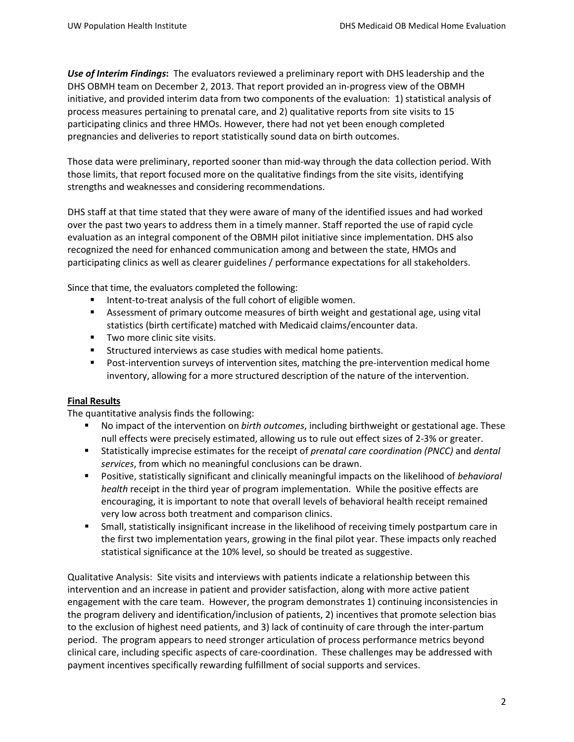*Use of Interim Findings***:** The evaluators reviewed a preliminary report with DHS leadership and the DHS OBMH team on December 2, 2013. That report provided an in-progress view of the OBMH initiative, and provided interim data from two components of the evaluation: 1) statistical analysis of process measures pertaining to prenatal care, and 2) qualitative reports from site visits to 15 participating clinics and three HMOs. However, there had not yet been enough completed pregnancies and deliveries to report statistically sound data on birth outcomes.

Those data were preliminary, reported sooner than mid-way through the data collection period. With those limits, that report focused more on the qualitative findings from the site visits, identifying strengths and weaknesses and considering recommendations.

DHS staff at that time stated that they were aware of many of the identified issues and had worked over the past two years to address them in a timely manner. Staff reported the use of rapid cycle evaluation as an integral component of the OBMH pilot initiative since implementation. DHS also recognized the need for enhanced communication among and between the state, HMOs and participating clinics as well as clearer guidelines / performance expectations for all stakeholders.

Since that time, the evaluators completed the following:

- Intent-to-treat analysis of the full cohort of eligible women.
- Assessment of primary outcome measures of birth weight and gestational age, using vital statistics (birth certificate) matched with Medicaid claims/encounter data.
- **Two more clinic site visits.**
- **EXECUTE:** Structured interviews as case studies with medical home patients.
- Post-intervention surveys of intervention sites, matching the pre-intervention medical home inventory, allowing for a more structured description of the nature of the intervention.

## **Final Results**

The quantitative analysis finds the following:

- No impact of the intervention on *birth outcomes*, including birthweight or gestational age. These null effects were precisely estimated, allowing us to rule out effect sizes of 2-3% or greater.
- Statistically imprecise estimates for the receipt of *prenatal care coordination (PNCC)* and *dental services*, from which no meaningful conclusions can be drawn.
- Positive, statistically significant and clinically meaningful impacts on the likelihood of *behavioral health* receipt in the third year of program implementation. While the positive effects are encouraging, it is important to note that overall levels of behavioral health receipt remained very low across both treatment and comparison clinics.
- Small, statistically insignificant increase in the likelihood of receiving timely postpartum care in the first two implementation years, growing in the final pilot year. These impacts only reached statistical significance at the 10% level, so should be treated as suggestive.

Qualitative Analysis: Site visits and interviews with patients indicate a relationship between this intervention and an increase in patient and provider satisfaction, along with more active patient engagement with the care team. However, the program demonstrates 1) continuing inconsistencies in the program delivery and identification/inclusion of patients, 2) incentives that promote selection bias to the exclusion of highest need patients, and 3) lack of continuity of care through the inter-partum period. The program appears to need stronger articulation of process performance metrics beyond clinical care, including specific aspects of care-coordination. These challenges may be addressed with payment incentives specifically rewarding fulfillment of social supports and services.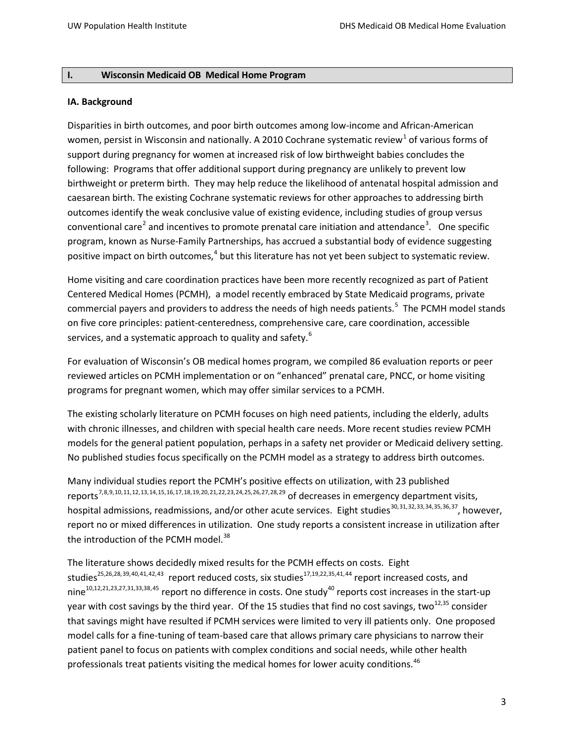#### **I. Wisconsin Medicaid OB Medical Home Program**

#### **IA. Background**

Disparities in birth outcomes, and poor birth outcomes among low-income and African-American women, persist in Wisconsin and nationally. A 20[1](#page-47-0)0 Cochrane systematic review<sup>1</sup> of various forms of support during pregnancy for women at increased risk of low birthweight babies concludes the following: Programs that offer additional support during pregnancy are unlikely to prevent low birthweight or preterm birth. They may help reduce the likelihood of antenatal hospital admission and caesarean birth. The existing Cochrane systematic reviews for other approaches to addressing birth outcomes identify the weak conclusive value of existing evidence, including studies of group versus conventional care<sup>[2](#page-47-1)</sup> and incentives to promote prenatal care initiation and attendance<sup>[3](#page-47-2)</sup>. One specific program, known as Nurse-Family Partnerships, has accrued a substantial body of evidence suggesting positive impact on birth outcomes,<sup>[4](#page-47-3)</sup> but this literature has not yet been subject to systematic review.

Home visiting and care coordination practices have been more recently recognized as part of Patient Centered Medical Homes (PCMH), a model recently embraced by State Medicaid programs, private commercial payers and providers to address the needs of high needs patients.<sup>[5](#page-47-4)</sup> The PCMH model stands on five core principles: patient-centeredness, comprehensive care, care coordination, accessible services, and a systematic approach to quality and safety.<sup>[6](#page-47-5)</sup>

For evaluation of Wisconsin's OB medical homes program, we compiled 86 evaluation reports or peer reviewed articles on PCMH implementation or on "enhanced" prenatal care, PNCC, or home visiting programs for pregnant women, which may offer similar services to a PCMH.

The existing scholarly literature on PCMH focuses on high need patients, including the elderly, adults with chronic illnesses, and children with special health care needs. More recent studies review PCMH models for the general patient population, perhaps in a safety net provider or Medicaid delivery setting. No published studies focus specifically on the PCMH model as a strategy to address birth outcomes.

Many individual studies report the PCMH's positive effects on utilization, with 23 published reports[7,](#page-47-6)[8,](#page-47-7)[9](#page-47-8),[10](#page-47-9),[11,](#page-47-10)[12,](#page-47-11)[13](#page-47-12),[14](#page-47-13)[,15](#page-47-14),[16,](#page-47-15)[17,](#page-47-16)[18](#page-47-17),[19](#page-47-18),[20,](#page-47-19)[21,](#page-47-20)[22](#page-47-21),[23](#page-47-22),[24](#page-47-23),[25,](#page-47-24)[26,](#page-47-25)[27](#page-47-26),[28](#page-47-11),[29](#page-47-27) of decreases in emergency department visits, hospital admissions, readmissions, and/or other acute services. Eight studies<sup>[30,](#page-47-28)[31](#page-47-29),[32](#page-47-16),[33,](#page-47-30)[34,](#page-47-31)[35](#page-47-32),[36](#page-47-33),37</sup>, however, report no or mixed differences in utilization. One study reports a consistent increase in utilization after the introduction of the PCMH model.<sup>[38](#page-47-35)</sup>

The literature shows decidedly mixed results for the PCMH effects on costs. Eight studies<sup>25,26,28,[39,](#page-47-24)[40](#page-47-36),[41](#page-47-37),[42](#page-47-26),43</sup> report reduced costs, six studies<sup>17,19,22,35,41,[44](#page-47-39)</sup> report increased costs, and  $nine^{10,12,21,23,27,31,33,38,45}$  $nine^{10,12,21,23,27,31,33,38,45}$  $nine^{10,12,21,23,27,31,33,38,45}$  report no difference in costs. One study<sup>40</sup> reports cost increases in the start-up year with cost savings by the third year. Of the 15 studies that find no cost savings, two<sup>12,35</sup> consider that savings might have resulted if PCMH services were limited to very ill patients only. One proposed model calls for a fine-tuning of team-based care that allows primary care physicians to narrow their patient panel to focus on patients with complex conditions and social needs, while other health professionals treat patients visiting the medical homes for lower acuity conditions.<sup>[46](#page-47-41)</sup>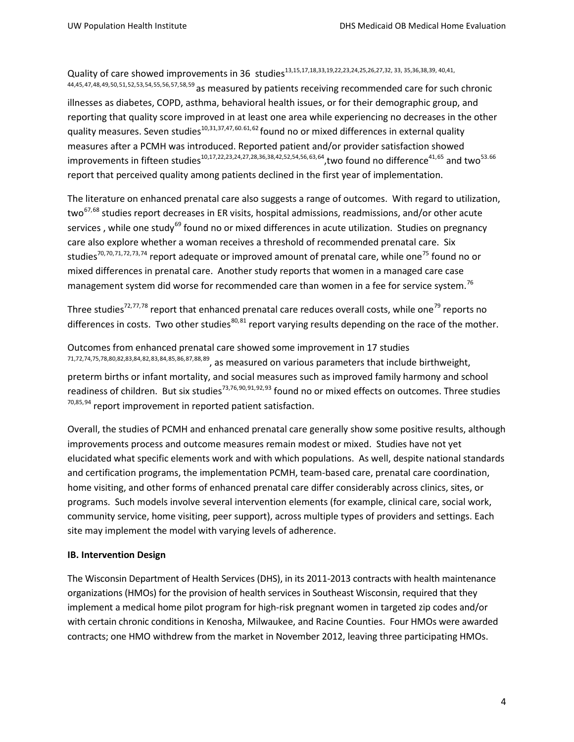Quality of care showed improvements in 36 studies<sup>13,15,17,18,33,19,22,23,24,25,26,27,32, 33, 35,36,38,39, 40,41,</sup> 44,45,[47](#page-48-0),[48](#page-48-1),[49,](#page-48-2)[50,](#page-48-3)[51](#page-48-4),[52](#page-48-5),[53,](#page-48-6)[54,](#page-48-7)[55,](#page-48-8)[56](#page-48-9),[57](#page-48-10),[58,](#page-48-11)[59](#page-48-12) as measured by patients receiving recommended care for such chronic illnesses as diabetes, COPD, asthma, behavioral health issues, or for their demographic group, and reporting that quality score improved in at least one area while experiencing no decreases in the other quality measures. Seven studies $^{10,31,37,47,60.61,62}$  $^{10,31,37,47,60.61,62}$  $^{10,31,37,47,60.61,62}$  $^{10,31,37,47,60.61,62}$  $^{10,31,37,47,60.61,62}$  found no or mixed differences in external quality measures after a PCMH was introduced. Reported patient and/or provider satisfaction showed improvements in fifteen studies<sup>10,17,22,23,24,27,28,36,38,42,52,54,56,[63,](#page-48-1)64</sup>, two found no difference<sup>41,[65](#page-48-17)</sup> and two<sup>53.[66](#page-48-18)</sup> report that perceived quality among patients declined in the first year of implementation.

The literature on enhanced prenatal care also suggests a range of outcomes. With regard to utilization, two<sup>[67,](#page-48-19)[68](#page-48-20)</sup> studies report decreases in ER visits, hospital admissions, readmissions, and/or other acute services, while one study<sup>[69](#page-48-21)</sup> found no or mixed differences in acute utilization. Studies on pregnancy care also explore whether a woman receives a threshold of recommended prenatal care. Six studies<sup>[70](#page-48-7),70,[71](#page-48-8),[72,](#page-48-22)[73,](#page-48-10)[74](#page-48-23)</sup> report adequate or improved amount of prenatal care, while one<sup>[75](#page-48-24)</sup> found no or mixed differences in prenatal care. Another study reports that women in a managed care case management system did worse for recommended care than women in a fee for service system.<sup>[76](#page-48-13)</sup>

Three studies<sup>72,[77,](#page-48-25)[78](#page-48-26)</sup> report that enhanced prenatal care reduces overall costs, while one<sup>[79](#page-48-0)</sup> reports no differences in costs. Two other studies<sup>[80,](#page-48-27)[81](#page-48-1)</sup> report varying results depending on the race of the mother.

Outcomes from enhanced prenatal care showed some improvement in 17 studies 71,72,74,75,78,80,82,83,84,[82](#page-48-16),[83](#page-48-28),[84](#page-48-29),[85,](#page-48-4)[86,](#page-48-5)[87](#page-48-6),[88](#page-48-7),[89,](#page-48-8) as measured on various parameters that include birthweight, preterm births or infant mortality, and social measures such as improved family harmony and school readiness of children. But six studies<sup>73,76,[90,](#page-48-9)[91](#page-48-10),[92](#page-48-11),[93](#page-48-12)</sup> found no or mixed effects on outcomes. Three studies 70,85,[94](#page-48-30) report improvement in reported patient satisfaction.

Overall, the studies of PCMH and enhanced prenatal care generally show some positive results, although improvements process and outcome measures remain modest or mixed. Studies have not yet elucidated what specific elements work and with which populations. As well, despite national standards and certification programs, the implementation PCMH, team-based care, prenatal care coordination, home visiting, and other forms of enhanced prenatal care differ considerably across clinics, sites, or programs. Such models involve several intervention elements (for example, clinical care, social work, community service, home visiting, peer support), across multiple types of providers and settings. Each site may implement the model with varying levels of adherence.

## **IB. Intervention Design**

The Wisconsin Department of Health Services (DHS), in its 2011-2013 contracts with health maintenance organizations (HMOs) for the provision of health services in Southeast Wisconsin, required that they implement a medical home pilot program for high-risk pregnant women in targeted zip codes and/or with certain chronic conditions in Kenosha, Milwaukee, and Racine Counties. Four HMOs were awarded contracts; one HMO withdrew from the market in November 2012, leaving three participating HMOs.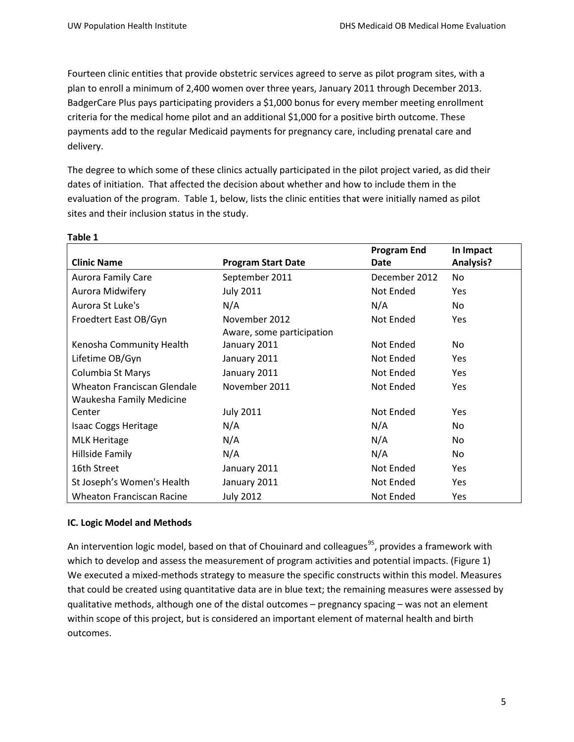Fourteen clinic entities that provide obstetric services agreed to serve as pilot program sites, with a plan to enroll a minimum of 2,400 women over three years, January 2011 through December 2013. BadgerCare Plus pays participating providers a \$1,000 bonus for every member meeting enrollment criteria for the medical home pilot and an additional \$1,000 for a positive birth outcome. These payments add to the regular Medicaid payments for pregnancy care, including prenatal care and delivery.

The degree to which some of these clinics actually participated in the pilot project varied, as did their dates of initiation. That affected the decision about whether and how to include them in the evaluation of the program. Table 1, below, lists the clinic entities that were initially named as pilot sites and their inclusion status in the study.

| <b>Clinic Name</b>               | <b>Program Start Date</b> | <b>Program End</b><br>Date | In Impact<br>Analysis? |
|----------------------------------|---------------------------|----------------------------|------------------------|
|                                  |                           |                            |                        |
| <b>Aurora Family Care</b>        | September 2011            | December 2012              | No                     |
| Aurora Midwifery                 | <b>July 2011</b>          | Not Ended                  | <b>Yes</b>             |
| Aurora St Luke's                 | N/A                       | N/A                        | No.                    |
| Froedtert East OB/Gyn            | November 2012             | Not Ended                  | <b>Yes</b>             |
|                                  | Aware, some participation |                            |                        |
| Kenosha Community Health         | January 2011              | Not Ended                  | No.                    |
| Lifetime OB/Gyn                  | January 2011              | Not Ended                  | <b>Yes</b>             |
| Columbia St Marys                | January 2011              | Not Ended                  | <b>Yes</b>             |
| Wheaton Franciscan Glendale      | November 2011             | Not Ended                  | <b>Yes</b>             |
| <b>Waukesha Family Medicine</b>  |                           |                            |                        |
| Center                           | <b>July 2011</b>          | Not Ended                  | <b>Yes</b>             |
| <b>Isaac Coggs Heritage</b>      | N/A                       | N/A                        | No.                    |
| <b>MLK Heritage</b>              | N/A                       | N/A                        | No.                    |
| Hillside Family                  | N/A                       | N/A                        | No.                    |
| 16th Street                      | January 2011              | Not Ended                  | <b>Yes</b>             |
| St Joseph's Women's Health       | January 2011              | Not Ended                  | <b>Yes</b>             |
| <b>Wheaton Franciscan Racine</b> | <b>July 2012</b>          | Not Ended                  | <b>Yes</b>             |

# **Table 1**

## **IC. Logic Model and Methods**

An intervention logic model, based on that of Chouinard and colleagues<sup>95</sup>, provides a framework with which to develop and assess the measurement of program activities and potential impacts. (Figure 1) We executed a mixed-methods strategy to measure the specific constructs within this model. Measures that could be created using quantitative data are in blue text; the remaining measures were assessed by qualitative methods, although one of the distal outcomes – pregnancy spacing – was not an element within scope of this project, but is considered an important element of maternal health and birth outcomes.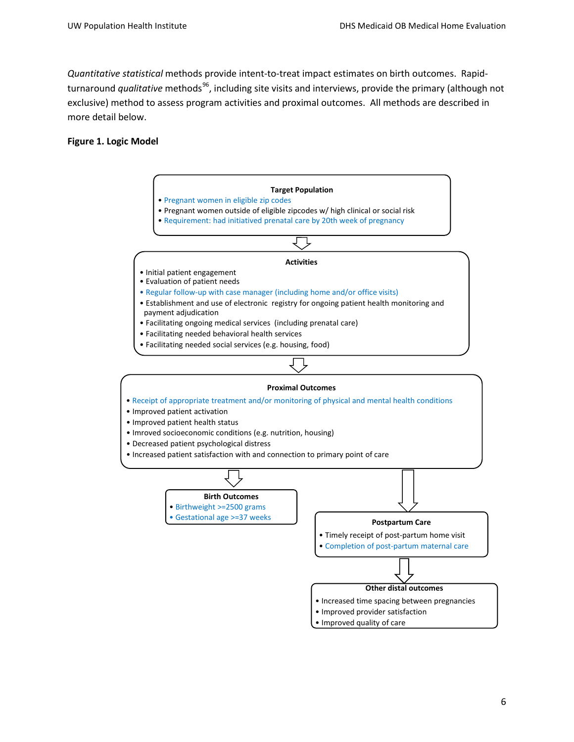*Quantitative statistical* methods provide intent-to-treat impact estimates on birth outcomes. Rapidturnaround *qualitative* methods<sup>[96](#page-49-0)</sup>, including site visits and interviews, provide the primary (although not exclusive) method to assess program activities and proximal outcomes. All methods are described in more detail below.

#### **Figure 1. Logic Model**



• Improved quality of care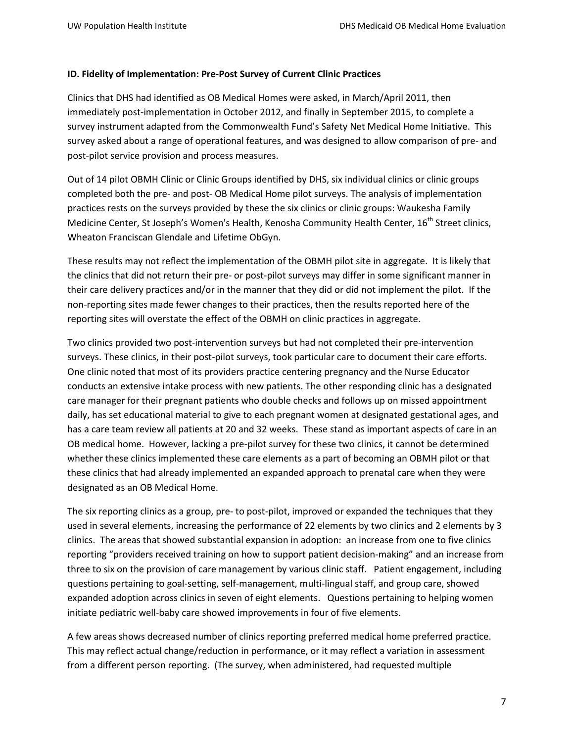#### **ID. Fidelity of Implementation: Pre-Post Survey of Current Clinic Practices**

Clinics that DHS had identified as OB Medical Homes were asked, in March/April 2011, then immediately post-implementation in October 2012, and finally in September 2015, to complete a survey instrument adapted from the Commonwealth Fund's Safety Net Medical Home Initiative. This survey asked about a range of operational features, and was designed to allow comparison of pre- and post-pilot service provision and process measures.

Out of 14 pilot OBMH Clinic or Clinic Groups identified by DHS, six individual clinics or clinic groups completed both the pre- and post- OB Medical Home pilot surveys. The analysis of implementation practices rests on the surveys provided by these the six clinics or clinic groups: Waukesha Family Medicine Center, St Joseph's Women's Health, Kenosha Community Health Center, 16<sup>th</sup> Street clinics. Wheaton Franciscan Glendale and Lifetime ObGyn.

These results may not reflect the implementation of the OBMH pilot site in aggregate. It is likely that the clinics that did not return their pre- or post-pilot surveys may differ in some significant manner in their care delivery practices and/or in the manner that they did or did not implement the pilot. If the non-reporting sites made fewer changes to their practices, then the results reported here of the reporting sites will overstate the effect of the OBMH on clinic practices in aggregate.

Two clinics provided two post-intervention surveys but had not completed their pre-intervention surveys. These clinics, in their post-pilot surveys, took particular care to document their care efforts. One clinic noted that most of its providers practice centering pregnancy and the Nurse Educator conducts an extensive intake process with new patients. The other responding clinic has a designated care manager for their pregnant patients who double checks and follows up on missed appointment daily, has set educational material to give to each pregnant women at designated gestational ages, and has a care team review all patients at 20 and 32 weeks. These stand as important aspects of care in an OB medical home. However, lacking a pre-pilot survey for these two clinics, it cannot be determined whether these clinics implemented these care elements as a part of becoming an OBMH pilot or that these clinics that had already implemented an expanded approach to prenatal care when they were designated as an OB Medical Home.

The six reporting clinics as a group, pre- to post-pilot, improved or expanded the techniques that they used in several elements, increasing the performance of 22 elements by two clinics and 2 elements by 3 clinics. The areas that showed substantial expansion in adoption: an increase from one to five clinics reporting "providers received training on how to support patient decision-making" and an increase from three to six on the provision of care management by various clinic staff. Patient engagement, including questions pertaining to goal-setting, self-management, multi-lingual staff, and group care, showed expanded adoption across clinics in seven of eight elements. Questions pertaining to helping women initiate pediatric well-baby care showed improvements in four of five elements.

A few areas shows decreased number of clinics reporting preferred medical home preferred practice. This may reflect actual change/reduction in performance, or it may reflect a variation in assessment from a different person reporting. (The survey, when administered, had requested multiple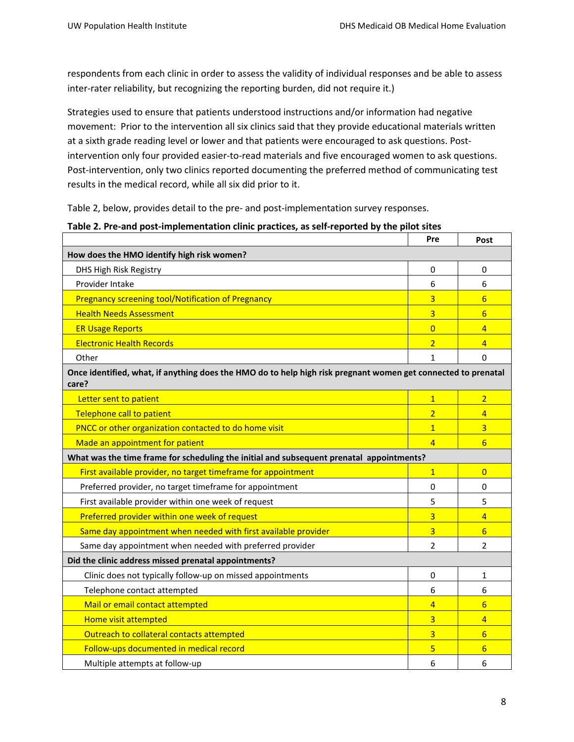respondents from each clinic in order to assess the validity of individual responses and be able to assess inter-rater reliability, but recognizing the reporting burden, did not require it.)

Strategies used to ensure that patients understood instructions and/or information had negative movement: Prior to the intervention all six clinics said that they provide educational materials written at a sixth grade reading level or lower and that patients were encouraged to ask questions. Postintervention only four provided easier-to-read materials and five encouraged women to ask questions. Post-intervention, only two clinics reported documenting the preferred method of communicating test results in the medical record, while all six did prior to it.

Table 2, below, provides detail to the pre- and post-implementation survey responses.

|                                            | Pre | Post |
|--------------------------------------------|-----|------|
| How does the HMO identify high risk women? |     |      |
| DHS High Risk Registry                     |     |      |
| <b>Drovider Intake</b>                     |     |      |

| How does the HMO identify high risk women?                                                                             |                |                 |
|------------------------------------------------------------------------------------------------------------------------|----------------|-----------------|
| DHS High Risk Registry                                                                                                 | 0              | $\mathbf 0$     |
| Provider Intake                                                                                                        | 6              | 6               |
| <b>Pregnancy screening tool/Notification of Pregnancy</b>                                                              | 3              | 6               |
| <b>Health Needs Assessment</b>                                                                                         | 3              | 6               |
| <b>ER Usage Reports</b>                                                                                                | $\overline{0}$ | $\overline{4}$  |
| <b>Electronic Health Records</b>                                                                                       | $\overline{2}$ | $\overline{4}$  |
| Other                                                                                                                  | 1              | $\Omega$        |
| Once identified, what, if anything does the HMO do to help high risk pregnant women get connected to prenatal<br>care? |                |                 |
| Letter sent to patient                                                                                                 | $\mathbf{1}$   | $\overline{2}$  |
| Telephone call to patient                                                                                              | $\overline{2}$ | $\overline{4}$  |
| PNCC or other organization contacted to do home visit                                                                  | $\mathbf{1}$   | 3               |
| Made an appointment for patient                                                                                        | $\overline{4}$ | $6\overline{6}$ |
| What was the time frame for scheduling the initial and subsequent prenatal appointments?                               |                |                 |
| First available provider, no target timeframe for appointment                                                          | $\mathbf{1}$   | $\overline{0}$  |
| Preferred provider, no target timeframe for appointment                                                                | $\mathbf 0$    | $\mathbf 0$     |
| First available provider within one week of request                                                                    | 5              | 5               |
| Preferred provider within one week of request                                                                          | $\overline{3}$ | $\overline{4}$  |
| Same day appointment when needed with first available provider                                                         | 3              | 6               |
| Same day appointment when needed with preferred provider                                                               | $\overline{2}$ | $\overline{2}$  |
| Did the clinic address missed prenatal appointments?                                                                   |                |                 |
| Clinic does not typically follow-up on missed appointments                                                             | $\Omega$       | 1               |
| Telephone contact attempted                                                                                            | 6              | 6               |
| Mail or email contact attempted                                                                                        | $\overline{4}$ | 6               |
| Home visit attempted                                                                                                   | 3              | 4               |
| Outreach to collateral contacts attempted                                                                              | $\overline{3}$ | 6               |
| Follow-ups documented in medical record                                                                                | 5              | 6               |
| Multiple attempts at follow-up                                                                                         | 6              | 6               |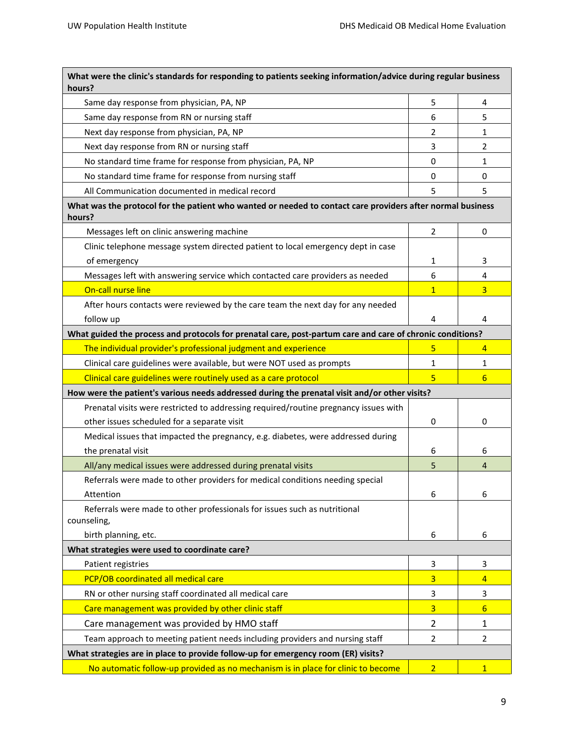| What were the clinic's standards for responding to patients seeking information/advice during regular business<br>hours? |                |                 |
|--------------------------------------------------------------------------------------------------------------------------|----------------|-----------------|
| Same day response from physician, PA, NP                                                                                 | 5              | 4               |
| Same day response from RN or nursing staff                                                                               | 6              | 5               |
| Next day response from physician, PA, NP                                                                                 | 2              | 1               |
| Next day response from RN or nursing staff                                                                               | 3              | 2               |
| No standard time frame for response from physician, PA, NP                                                               | $\mathbf 0$    | 1               |
| No standard time frame for response from nursing staff                                                                   | 0              | 0               |
| All Communication documented in medical record                                                                           | 5              | 5               |
| What was the protocol for the patient who wanted or needed to contact care providers after normal business<br>hours?     |                |                 |
| Messages left on clinic answering machine                                                                                | 2              | 0               |
| Clinic telephone message system directed patient to local emergency dept in case<br>of emergency                         | 1              | 3               |
| Messages left with answering service which contacted care providers as needed                                            | 6              | 4               |
| On-call nurse line                                                                                                       | $\mathbf{1}$   | $\overline{3}$  |
| After hours contacts were reviewed by the care team the next day for any needed                                          |                |                 |
| follow up                                                                                                                | 4              | 4               |
| What guided the process and protocols for prenatal care, post-partum care and care of chronic conditions?                |                |                 |
| The individual provider's professional judgment and experience                                                           | 5              | 4               |
| Clinical care guidelines were available, but were NOT used as prompts                                                    | 1              | 1               |
| Clinical care guidelines were routinely used as a care protocol                                                          | 5              | 6               |
| How were the patient's various needs addressed during the prenatal visit and/or other visits?                            |                |                 |
| Prenatal visits were restricted to addressing required/routine pregnancy issues with                                     |                |                 |
| other issues scheduled for a separate visit                                                                              | 0              | 0               |
| Medical issues that impacted the pregnancy, e.g. diabetes, were addressed during                                         |                |                 |
| the prenatal visit                                                                                                       | 6              | 6               |
| All/any medical issues were addressed during prenatal visits                                                             | 5              | $\overline{4}$  |
| Referrals were made to other providers for medical conditions needing special                                            |                |                 |
| Attention                                                                                                                | 6              | 6               |
| Referrals were made to other professionals for issues such as nutritional<br>counseling,                                 |                |                 |
| birth planning, etc.                                                                                                     | 6              | 6               |
| What strategies were used to coordinate care?                                                                            |                |                 |
| Patient registries                                                                                                       | 3              | 3               |
| PCP/OB coordinated all medical care                                                                                      | 3              | $\overline{4}$  |
| RN or other nursing staff coordinated all medical care                                                                   | 3              | 3               |
| Care management was provided by other clinic staff                                                                       | 3              | $6\overline{6}$ |
| Care management was provided by HMO staff                                                                                | $\overline{2}$ | 1               |
| Team approach to meeting patient needs including providers and nursing staff                                             | 2              | $\overline{2}$  |
| What strategies are in place to provide follow-up for emergency room (ER) visits?                                        |                |                 |
| No automatic follow-up provided as no mechanism is in place for clinic to become                                         | $\overline{2}$ | $\mathbf{1}$    |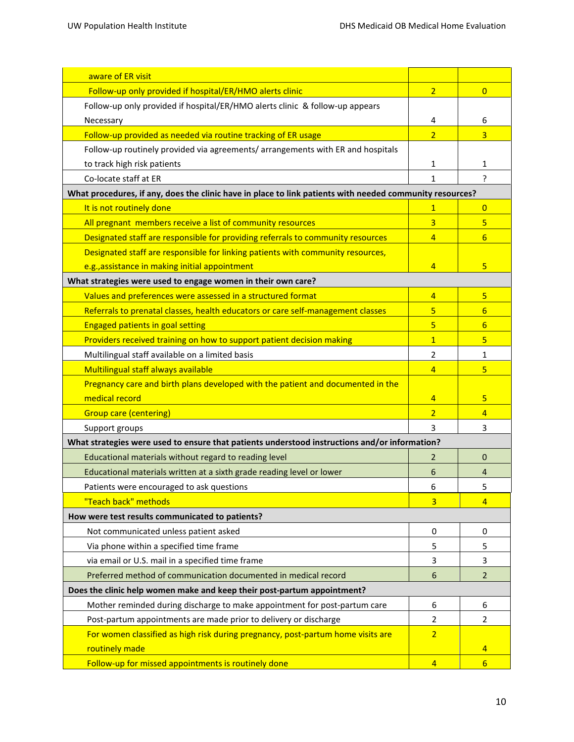| aware of ER visit                                                                                        |                 |                 |
|----------------------------------------------------------------------------------------------------------|-----------------|-----------------|
| Follow-up only provided if hospital/ER/HMO alerts clinic                                                 | $\overline{2}$  | $\overline{0}$  |
| Follow-up only provided if hospital/ER/HMO alerts clinic & follow-up appears                             |                 |                 |
| Necessary                                                                                                | 4               | 6               |
| Follow-up provided as needed via routine tracking of ER usage                                            | $\overline{2}$  | $\overline{3}$  |
| Follow-up routinely provided via agreements/ arrangements with ER and hospitals                          |                 |                 |
| to track high risk patients                                                                              | 1               | 1               |
| Co-locate staff at ER                                                                                    | 1               | ?               |
| What procedures, if any, does the clinic have in place to link patients with needed community resources? |                 |                 |
| It is not routinely done                                                                                 | $\mathbf{1}$    | $\mathbf{0}$    |
| All pregnant members receive a list of community resources                                               | 3               | 5               |
| Designated staff are responsible for providing referrals to community resources                          | $\overline{4}$  | 6               |
| Designated staff are responsible for linking patients with community resources,                          |                 |                 |
| e.g., assistance in making initial appointment                                                           | 4               | 5               |
| What strategies were used to engage women in their own care?                                             |                 |                 |
| Values and preferences were assessed in a structured format                                              | $\overline{4}$  | 5               |
| Referrals to prenatal classes, health educators or care self-management classes                          | 5               | $6\overline{6}$ |
| <b>Engaged patients in goal setting</b>                                                                  | 5               | $6\overline{6}$ |
| Providers received training on how to support patient decision making                                    | $\overline{1}$  | 5               |
| Multilingual staff available on a limited basis                                                          | 2               | 1               |
| Multilingual staff always available                                                                      | $\overline{4}$  | 5               |
| Pregnancy care and birth plans developed with the patient and documented in the                          |                 |                 |
| medical record                                                                                           | 4               | 5               |
| <b>Group care (centering)</b>                                                                            | $\overline{2}$  | 4               |
| Support groups                                                                                           | 3               | 3               |
| What strategies were used to ensure that patients understood instructions and/or information?            |                 |                 |
| Educational materials without regard to reading level                                                    | 2               | $\mathbf{0}$    |
| Educational materials written at a sixth grade reading level or lower                                    | 6               | 4               |
| Patients were encouraged to ask questions                                                                | 6               | 5               |
| "Teach back" methods                                                                                     | $\overline{3}$  | 4               |
| How were test results communicated to patients?                                                          |                 |                 |
| Not communicated unless patient asked                                                                    | 0               | 0               |
| Via phone within a specified time frame                                                                  | 5               | 5               |
| via email or U.S. mail in a specified time frame                                                         | 3               | 3               |
| Preferred method of communication documented in medical record                                           | $6\phantom{1}6$ | $\overline{2}$  |
| Does the clinic help women make and keep their post-partum appointment?                                  |                 |                 |
| Mother reminded during discharge to make appointment for post-partum care                                | 6               | 6               |
| Post-partum appointments are made prior to delivery or discharge                                         | $\overline{2}$  | $\overline{2}$  |
| For women classified as high risk during pregnancy, post-partum home visits are                          | $\overline{2}$  |                 |
| routinely made                                                                                           |                 | $\overline{4}$  |
| Follow-up for missed appointments is routinely done                                                      | $\overline{4}$  | 6               |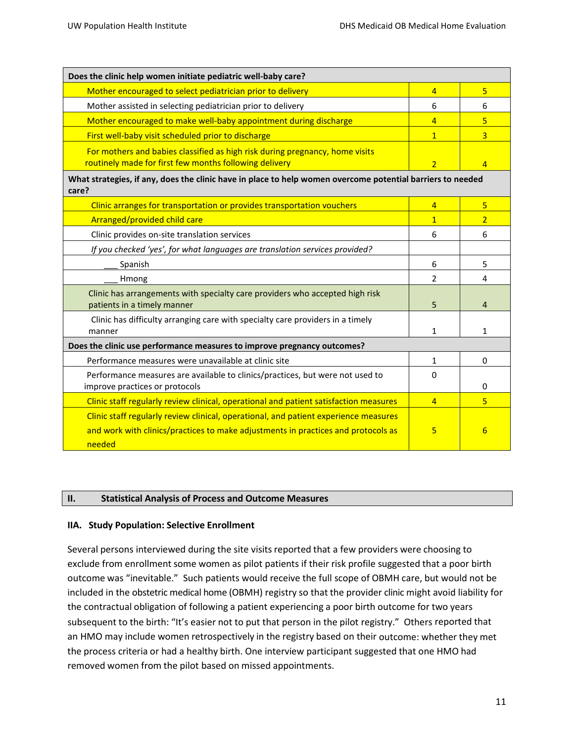| Does the clinic help women initiate pediatric well-baby care?                                                                                                                       |                |                |
|-------------------------------------------------------------------------------------------------------------------------------------------------------------------------------------|----------------|----------------|
| Mother encouraged to select pediatrician prior to delivery                                                                                                                          | $\overline{4}$ | 5              |
| Mother assisted in selecting pediatrician prior to delivery                                                                                                                         | 6              | 6              |
| Mother encouraged to make well-baby appointment during discharge                                                                                                                    | $\overline{4}$ | 5              |
| First well-baby visit scheduled prior to discharge                                                                                                                                  | $\overline{1}$ | $\overline{3}$ |
| For mothers and babies classified as high risk during pregnancy, home visits<br>routinely made for first few months following delivery                                              | $\overline{2}$ | $\overline{4}$ |
| What strategies, if any, does the clinic have in place to help women overcome potential barriers to needed<br>care?                                                                 |                |                |
| Clinic arranges for transportation or provides transportation vouchers                                                                                                              | $\overline{4}$ | 5              |
| Arranged/provided child care                                                                                                                                                        | $\mathbf{1}$   | $\overline{2}$ |
| Clinic provides on-site translation services                                                                                                                                        | 6              | 6              |
| If you checked 'yes', for what languages are translation services provided?                                                                                                         |                |                |
| Spanish                                                                                                                                                                             | 6              | 5              |
| Hmong                                                                                                                                                                               | 2              | 4              |
| Clinic has arrangements with specialty care providers who accepted high risk<br>patients in a timely manner                                                                         | 5              | 4              |
| Clinic has difficulty arranging care with specialty care providers in a timely<br>manner                                                                                            | 1              | 1              |
| Does the clinic use performance measures to improve pregnancy outcomes?                                                                                                             |                |                |
| Performance measures were unavailable at clinic site                                                                                                                                | $\mathbf{1}$   | $\Omega$       |
| Performance measures are available to clinics/practices, but were not used to<br>improve practices or protocols                                                                     | $\Omega$       | 0              |
| Clinic staff regularly review clinical, operational and patient satisfaction measures                                                                                               | $\overline{4}$ | 5              |
| Clinic staff regularly review clinical, operational, and patient experience measures<br>and work with clinics/practices to make adjustments in practices and protocols as<br>needed | 5              | 6              |

#### **II. Statistical Analysis of Process and Outcome Measures**

#### **IIA. Study Population: Selective Enrollment**

Several persons interviewed during the site visits reported that a few providers were choosing to exclude from enrollment some women as pilot patients if their risk profile suggested that a poor birth outcome was "inevitable." Such patients would receive the full scope of OBMH care, but would not be included in the obstetric medical home (OBMH) registry so that the provider clinic might avoid liability for the contractual obligation of following a patient experiencing a poor birth outcome for two years subsequent to the birth: "It's easier not to put that person in the pilot registry." Others reported that an HMO may include women retrospectively in the registry based on their outcome: whether they met the process criteria or had a healthy birth. One interview participant suggested that one HMO had removed women from the pilot based on missed appointments.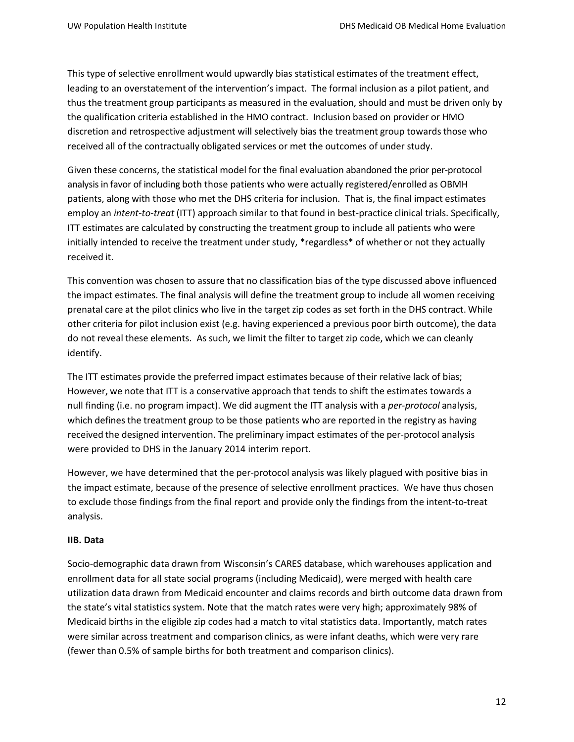This type of selective enrollment would upwardly bias statistical estimates of the treatment effect, leading to an overstatement of the intervention's impact. The formal inclusion as a pilot patient, and thus the treatment group participants as measured in the evaluation, should and must be driven only by the qualification criteria established in the HMO contract. Inclusion based on provider or HMO discretion and retrospective adjustment will selectively bias the treatment group towards those who received all of the contractually obligated services or met the outcomes of under study.

Given these concerns, the statistical model for the final evaluation abandoned the prior per-protocol analysis in favor of including both those patients who were actually registered/enrolled as OBMH patients, along with those who met the DHS criteria for inclusion. That is, the final impact estimates employ an *intent-to-treat* (ITT) approach similar to that found in best-practice clinical trials. Specifically, ITT estimates are calculated by constructing the treatment group to include all patients who were initially intended to receive the treatment under study, \*regardless\* of whether or not they actually received it.

This convention was chosen to assure that no classification bias of the type discussed above influenced the impact estimates. The final analysis will define the treatment group to include all women receiving prenatal care at the pilot clinics who live in the target zip codes as set forth in the DHS contract. While other criteria for pilot inclusion exist (e.g. having experienced a previous poor birth outcome), the data do not reveal these elements. As such, we limit the filter to target zip code, which we can cleanly identify.

The ITT estimates provide the preferred impact estimates because of their relative lack of bias; However, we note that ITT is a conservative approach that tends to shift the estimates towards a null finding (i.e. no program impact). We did augment the ITT analysis with a *per-protocol* analysis, which defines the treatment group to be those patients who are reported in the registry as having received the designed intervention. The preliminary impact estimates of the per-protocol analysis were provided to DHS in the January 2014 interim report.

However, we have determined that the per-protocol analysis was likely plagued with positive bias in the impact estimate, because of the presence of selective enrollment practices. We have thus chosen to exclude those findings from the final report and provide only the findings from the intent-to-treat analysis.

## **IIB. Data**

Socio-demographic data drawn from Wisconsin's CARES database, which warehouses application and enrollment data for all state social programs (including Medicaid), were merged with health care utilization data drawn from Medicaid encounter and claims records and birth outcome data drawn from the state's vital statistics system. Note that the match rates were very high; approximately 98% of Medicaid births in the eligible zip codes had a match to vital statistics data. Importantly, match rates were similar across treatment and comparison clinics, as were infant deaths, which were very rare (fewer than 0.5% of sample births for both treatment and comparison clinics).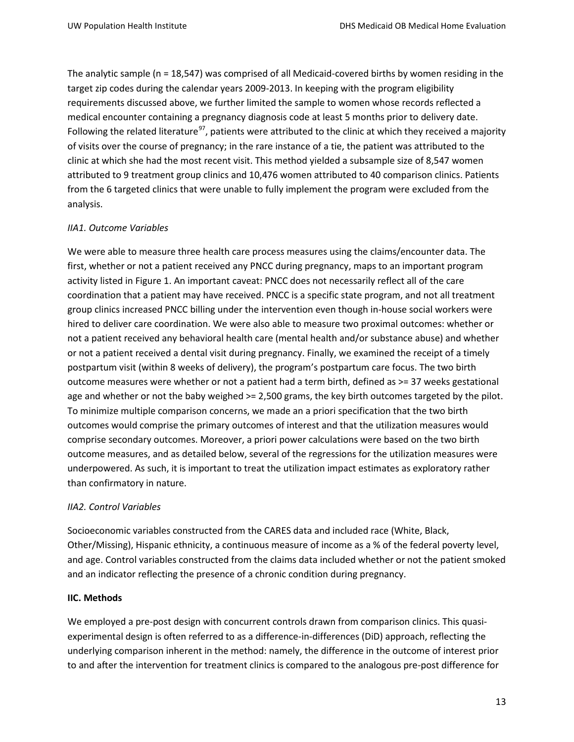The analytic sample (n = 18,547) was comprised of all Medicaid-covered births by women residing in the target zip codes during the calendar years 2009-2013. In keeping with the program eligibility requirements discussed above, we further limited the sample to women whose records reflected a medical encounter containing a pregnancy diagnosis code at least 5 months prior to delivery date. Following the related literature<sup>[97](#page-49-1)</sup>, patients were attributed to the clinic at which they received a majority of visits over the course of pregnancy; in the rare instance of a tie, the patient was attributed to the clinic at which she had the most recent visit. This method yielded a subsample size of 8,547 women attributed to 9 treatment group clinics and 10,476 women attributed to 40 comparison clinics. Patients from the 6 targeted clinics that were unable to fully implement the program were excluded from the analysis.

## *IIA1. Outcome Variables*

We were able to measure three health care process measures using the claims/encounter data. The first, whether or not a patient received any PNCC during pregnancy, maps to an important program activity listed in Figure 1. An important caveat: PNCC does not necessarily reflect all of the care coordination that a patient may have received. PNCC is a specific state program, and not all treatment group clinics increased PNCC billing under the intervention even though in-house social workers were hired to deliver care coordination. We were also able to measure two proximal outcomes: whether or not a patient received any behavioral health care (mental health and/or substance abuse) and whether or not a patient received a dental visit during pregnancy. Finally, we examined the receipt of a timely postpartum visit (within 8 weeks of delivery), the program's postpartum care focus. The two birth outcome measures were whether or not a patient had a term birth, defined as >= 37 weeks gestational age and whether or not the baby weighed >= 2,500 grams, the key birth outcomes targeted by the pilot. To minimize multiple comparison concerns, we made an a priori specification that the two birth outcomes would comprise the primary outcomes of interest and that the utilization measures would comprise secondary outcomes. Moreover, a priori power calculations were based on the two birth outcome measures, and as detailed below, several of the regressions for the utilization measures were underpowered. As such, it is important to treat the utilization impact estimates as exploratory rather than confirmatory in nature.

## *IIA2. Control Variables*

Socioeconomic variables constructed from the CARES data and included race (White, Black, Other/Missing), Hispanic ethnicity, a continuous measure of income as a % of the federal poverty level, and age. Control variables constructed from the claims data included whether or not the patient smoked and an indicator reflecting the presence of a chronic condition during pregnancy.

## **IIC. Methods**

We employed a pre-post design with concurrent controls drawn from comparison clinics. This quasiexperimental design is often referred to as a difference-in-differences (DiD) approach, reflecting the underlying comparison inherent in the method: namely, the difference in the outcome of interest prior to and after the intervention for treatment clinics is compared to the analogous pre-post difference for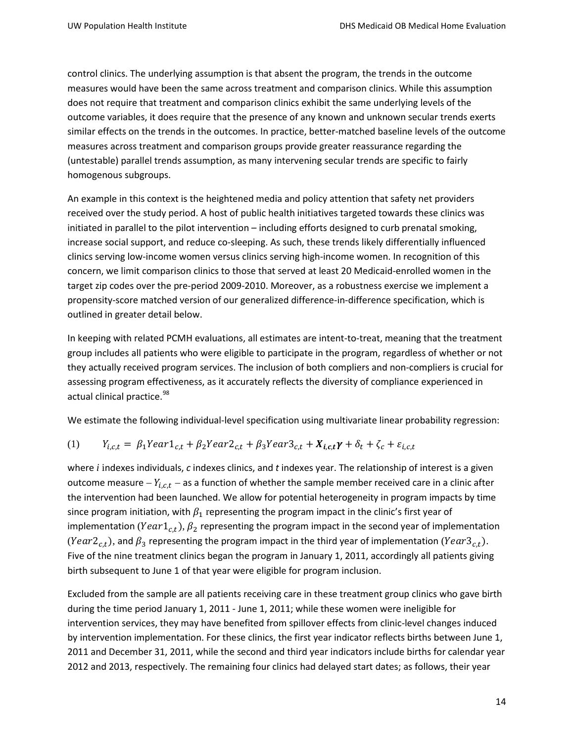control clinics. The underlying assumption is that absent the program, the trends in the outcome measures would have been the same across treatment and comparison clinics. While this assumption does not require that treatment and comparison clinics exhibit the same underlying levels of the outcome variables, it does require that the presence of any known and unknown secular trends exerts similar effects on the trends in the outcomes. In practice, better-matched baseline levels of the outcome measures across treatment and comparison groups provide greater reassurance regarding the (untestable) parallel trends assumption, as many intervening secular trends are specific to fairly homogenous subgroups.

An example in this context is the heightened media and policy attention that safety net providers received over the study period. A host of public health initiatives targeted towards these clinics was initiated in parallel to the pilot intervention – including efforts designed to curb prenatal smoking, increase social support, and reduce co-sleeping. As such, these trends likely differentially influenced clinics serving low-income women versus clinics serving high-income women. In recognition of this concern, we limit comparison clinics to those that served at least 20 Medicaid-enrolled women in the target zip codes over the pre-period 2009-2010. Moreover, as a robustness exercise we implement a propensity-score matched version of our generalized difference-in-difference specification, which is outlined in greater detail below.

In keeping with related PCMH evaluations, all estimates are intent-to-treat, meaning that the treatment group includes all patients who were eligible to participate in the program, regardless of whether or not they actually received program services. The inclusion of both compliers and non-compliers is crucial for assessing program effectiveness, as it accurately reflects the diversity of compliance experienced in actual clinical practice.<sup>[98](#page-49-2)</sup>

We estimate the following individual-level specification using multivariate linear probability regression:

$$
(1) \qquad Y_{i,c,t} = \beta_1 Year1_{c,t} + \beta_2 Year2_{c,t} + \beta_3 Year3_{c,t} + X_{i,c,t}\gamma + \delta_t + \zeta_c + \varepsilon_{i,c,t}
$$

where *i* indexes individuals, *c* indexes clinics, and *t* indexes year. The relationship of interest is a given outcome measure –  $Y_{i,c,t}$  – as a function of whether the sample member received care in a clinic after the intervention had been launched. We allow for potential heterogeneity in program impacts by time since program initiation, with  $\beta_1$  representing the program impact in the clinic's first year of implementation (Year $1_{c,t}$ ),  $\beta_2$  representing the program impact in the second year of implementation (Year $2_{ct}$ ), and  $\beta_3$  representing the program impact in the third year of implementation (Year $3_{ct}$ ). Five of the nine treatment clinics began the program in January 1, 2011, accordingly all patients giving birth subsequent to June 1 of that year were eligible for program inclusion.

Excluded from the sample are all patients receiving care in these treatment group clinics who gave birth during the time period January 1, 2011 - June 1, 2011; while these women were ineligible for intervention services, they may have benefited from spillover effects from clinic-level changes induced by intervention implementation. For these clinics, the first year indicator reflects births between June 1, 2011 and December 31, 2011, while the second and third year indicators include births for calendar year 2012 and 2013, respectively. The remaining four clinics had delayed start dates; as follows, their year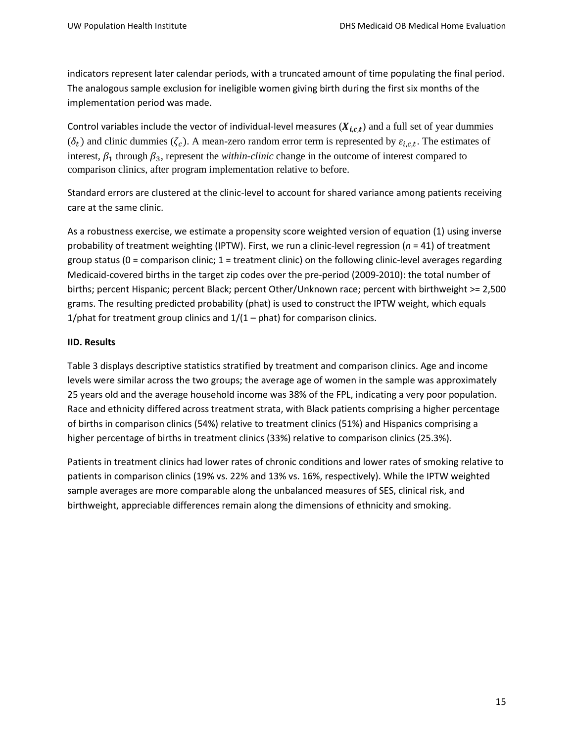indicators represent later calendar periods, with a truncated amount of time populating the final period. The analogous sample exclusion for ineligible women giving birth during the first six months of the implementation period was made.

Control variables include the vector of individual-level measures  $(X_{i,c,t})$  and a full set of year dummies  $(\delta_t)$  and clinic dummies  $(\zeta_c)$ . A mean-zero random error term is represented by  $\varepsilon_{i,c,t}$ . The estimates of interest,  $\beta_1$  through  $\beta_3$ , represent the *within-clinic* change in the outcome of interest compared to comparison clinics, after program implementation relative to before.

Standard errors are clustered at the clinic-level to account for shared variance among patients receiving care at the same clinic.

As a robustness exercise, we estimate a propensity score weighted version of equation (1) using inverse probability of treatment weighting (IPTW). First, we run a clinic-level regression (*n* = 41) of treatment group status ( $0 =$  comparison clinic;  $1 =$  treatment clinic) on the following clinic-level averages regarding Medicaid-covered births in the target zip codes over the pre-period (2009-2010): the total number of births; percent Hispanic; percent Black; percent Other/Unknown race; percent with birthweight >= 2,500 grams. The resulting predicted probability (phat) is used to construct the IPTW weight, which equals 1/phat for treatment group clinics and  $1/(1 - \text{phot})$  for comparison clinics.

### **IID. Results**

Table 3 displays descriptive statistics stratified by treatment and comparison clinics. Age and income levels were similar across the two groups; the average age of women in the sample was approximately 25 years old and the average household income was 38% of the FPL, indicating a very poor population. Race and ethnicity differed across treatment strata, with Black patients comprising a higher percentage of births in comparison clinics (54%) relative to treatment clinics (51%) and Hispanics comprising a higher percentage of births in treatment clinics (33%) relative to comparison clinics (25.3%).

Patients in treatment clinics had lower rates of chronic conditions and lower rates of smoking relative to patients in comparison clinics (19% vs. 22% and 13% vs. 16%, respectively). While the IPTW weighted sample averages are more comparable along the unbalanced measures of SES, clinical risk, and birthweight, appreciable differences remain along the dimensions of ethnicity and smoking.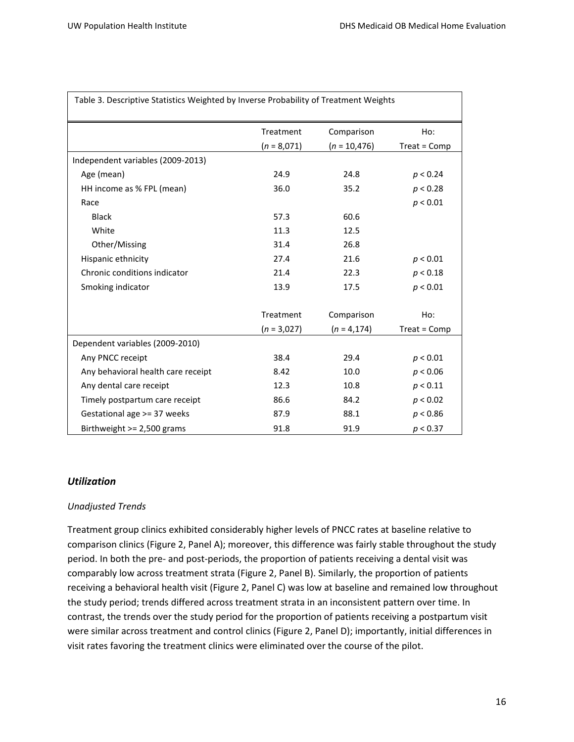| Table 3. Descriptive Statistics Weighted by Inverse Probability of Treatment Weights |                            |                               |                     |
|--------------------------------------------------------------------------------------|----------------------------|-------------------------------|---------------------|
|                                                                                      | Treatment<br>$(n = 8,071)$ | Comparison<br>$(n = 10, 476)$ | Ho:<br>Treat = Comp |
| Independent variables (2009-2013)                                                    |                            |                               |                     |
| Age (mean)                                                                           | 24.9                       | 24.8                          | p < 0.24            |
| HH income as % FPL (mean)                                                            | 36.0                       | 35.2                          | p < 0.28            |
| Race                                                                                 |                            |                               | p < 0.01            |
| <b>Black</b>                                                                         | 57.3                       | 60.6                          |                     |
| White                                                                                | 11.3                       | 12.5                          |                     |
| Other/Missing                                                                        | 31.4                       | 26.8                          |                     |
| Hispanic ethnicity                                                                   | 27.4                       | 21.6                          | p < 0.01            |
| Chronic conditions indicator                                                         | 21.4                       | 22.3                          | p < 0.18            |
| Smoking indicator                                                                    | 13.9                       | 17.5                          | p < 0.01            |
|                                                                                      | Treatment                  | Comparison                    | Ho:                 |
|                                                                                      | $(n = 3,027)$              | $(n = 4, 174)$                | $Treat = Comp$      |
| Dependent variables (2009-2010)                                                      |                            |                               |                     |
| Any PNCC receipt                                                                     | 38.4                       | 29.4                          | p < 0.01            |
| Any behavioral health care receipt                                                   | 8.42                       | 10.0                          | p < 0.06            |
| Any dental care receipt                                                              | 12.3                       | 10.8                          | p < 0.11            |
| Timely postpartum care receipt                                                       | 86.6                       | 84.2                          | p < 0.02            |
| Gestational age >= 37 weeks                                                          | 87.9                       | 88.1                          | p < 0.86            |
| Birthweight $>= 2,500$ grams                                                         | 91.8                       | 91.9                          | p < 0.37            |

#### *Utilization*

#### *Unadjusted Trends*

Treatment group clinics exhibited considerably higher levels of PNCC rates at baseline relative to comparison clinics (Figure 2, Panel A); moreover, this difference was fairly stable throughout the study period. In both the pre- and post-periods, the proportion of patients receiving a dental visit was comparably low across treatment strata (Figure 2, Panel B). Similarly, the proportion of patients receiving a behavioral health visit (Figure 2, Panel C) was low at baseline and remained low throughout the study period; trends differed across treatment strata in an inconsistent pattern over time. In contrast, the trends over the study period for the proportion of patients receiving a postpartum visit were similar across treatment and control clinics (Figure 2, Panel D); importantly, initial differences in visit rates favoring the treatment clinics were eliminated over the course of the pilot.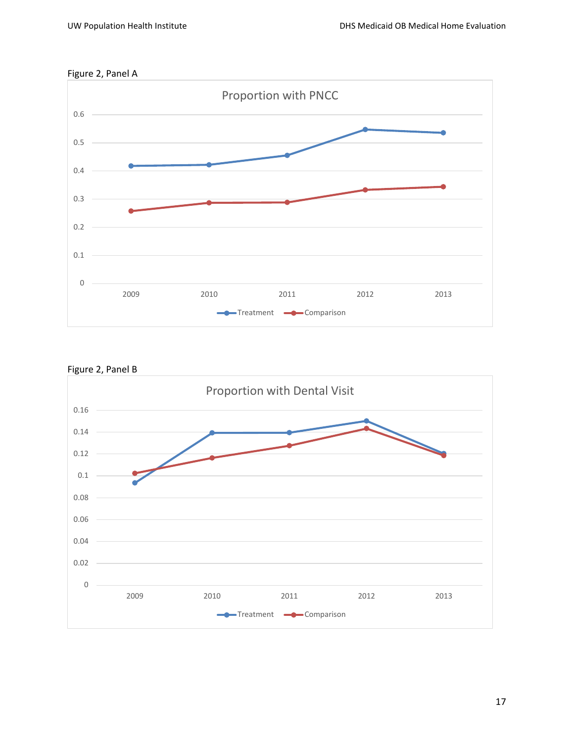





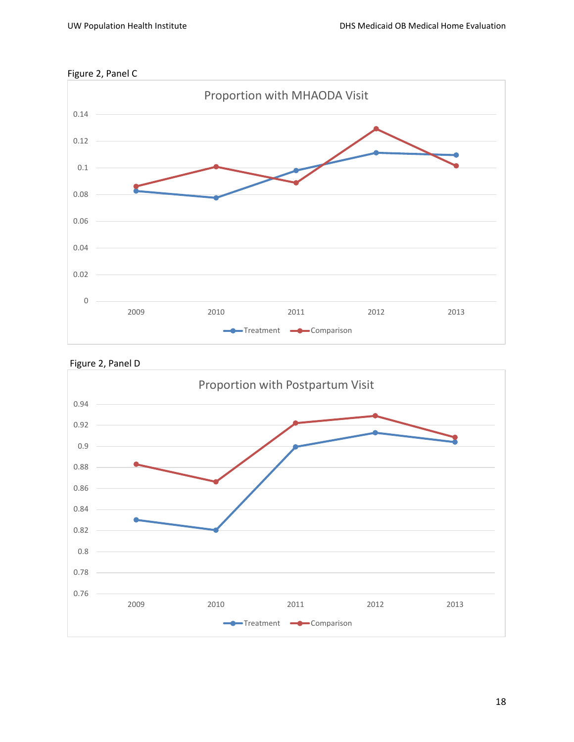





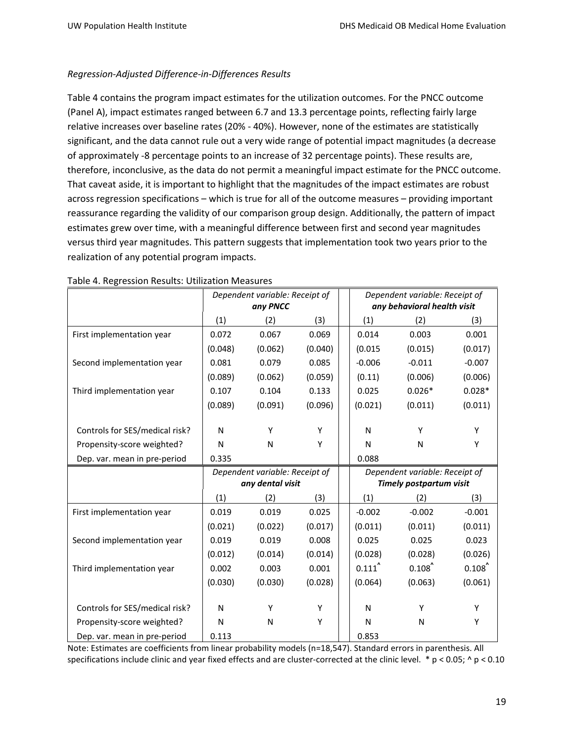# *Regression-Adjusted Difference-in-Differences Results*

Table 4 contains the program impact estimates for the utilization outcomes. For the PNCC outcome (Panel A), impact estimates ranged between 6.7 and 13.3 percentage points, reflecting fairly large relative increases over baseline rates (20% - 40%). However, none of the estimates are statistically significant, and the data cannot rule out a very wide range of potential impact magnitudes (a decrease of approximately -8 percentage points to an increase of 32 percentage points). These results are, therefore, inconclusive, as the data do not permit a meaningful impact estimate for the PNCC outcome. That caveat aside, it is important to highlight that the magnitudes of the impact estimates are robust across regression specifications – which is true for all of the outcome measures – providing important reassurance regarding the validity of our comparison group design. Additionally, the pattern of impact estimates grew over time, with a meaningful difference between first and second year magnitudes versus third year magnitudes. This pattern suggests that implementation took two years prior to the realization of any potential program impacts.

|                                | Dependent variable: Receipt of<br>any PNCC |                  |         |  |          |                                | Dependent variable: Receipt of<br>any behavioral health visit |  |
|--------------------------------|--------------------------------------------|------------------|---------|--|----------|--------------------------------|---------------------------------------------------------------|--|
|                                | (1)                                        | (2)              | (3)     |  | (1)      | (2)                            | (3)                                                           |  |
| First implementation year      | 0.072                                      | 0.067            | 0.069   |  | 0.014    | 0.003                          | 0.001                                                         |  |
|                                | (0.048)                                    | (0.062)          | (0.040) |  | (0.015)  | (0.015)                        | (0.017)                                                       |  |
| Second implementation year     | 0.081                                      | 0.079            | 0.085   |  | $-0.006$ | $-0.011$                       | $-0.007$                                                      |  |
|                                | (0.089)                                    | (0.062)          | (0.059) |  | (0.11)   | (0.006)                        | (0.006)                                                       |  |
| Third implementation year      | 0.107                                      | 0.104            | 0.133   |  | 0.025    | $0.026*$                       | $0.028*$                                                      |  |
|                                | (0.089)                                    | (0.091)          | (0.096) |  | (0.021)  | (0.011)                        | (0.011)                                                       |  |
|                                |                                            |                  |         |  |          |                                |                                                               |  |
| Controls for SES/medical risk? | N                                          | Υ                | Υ       |  | N        | Y                              | Y                                                             |  |
| Propensity-score weighted?     | N                                          | N                | Υ       |  | N        | N                              | Y                                                             |  |
| Dep. var. mean in pre-period   | 0.335                                      |                  |         |  | 0.088    |                                |                                                               |  |
|                                | Dependent variable: Receipt of             |                  |         |  |          |                                |                                                               |  |
|                                |                                            |                  |         |  |          | Dependent variable: Receipt of |                                                               |  |
|                                |                                            | any dental visit |         |  |          | <b>Timely postpartum visit</b> |                                                               |  |
|                                | (1)                                        | (2)              | (3)     |  | (1)      | (2)                            | (3)                                                           |  |
| First implementation year      | 0.019                                      | 0.019            | 0.025   |  | $-0.002$ | $-0.002$                       | $-0.001$                                                      |  |
|                                | (0.021)                                    | (0.022)          | (0.017) |  | (0.011)  | (0.011)                        | (0.011)                                                       |  |
| Second implementation year     | 0.019                                      | 0.019            | 0.008   |  | 0.025    | 0.025                          | 0.023                                                         |  |
|                                | (0.012)                                    | (0.014)          | (0.014) |  | (0.028)  | (0.028)                        | (0.026)                                                       |  |
| Third implementation year      | 0.002                                      | 0.003            | 0.001   |  | 0.111    | 0.108                          | 0.108                                                         |  |
|                                | (0.030)                                    | (0.030)          | (0.028) |  | (0.064)  | (0.063)                        | (0.061)                                                       |  |
| Controls for SES/medical risk? | N                                          | Y                | Y       |  | N        | Y                              | Υ                                                             |  |
| Propensity-score weighted?     | N                                          | N                | Y       |  | N        | N                              | Υ                                                             |  |

| Table 4. Regression Results: Utilization Measures |  |  |
|---------------------------------------------------|--|--|
|                                                   |  |  |

Note: Estimates are coefficients from linear probability models (n=18,547). Standard errors in parenthesis. All specifications include clinic and year fixed effects and are cluster-corrected at the clinic level.  $* p < 0.05$ ;  $\land p < 0.10$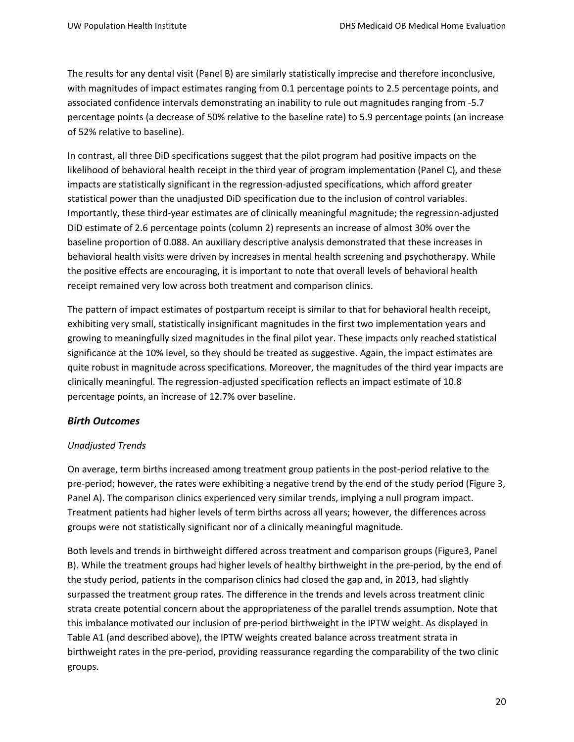The results for any dental visit (Panel B) are similarly statistically imprecise and therefore inconclusive, with magnitudes of impact estimates ranging from 0.1 percentage points to 2.5 percentage points, and associated confidence intervals demonstrating an inability to rule out magnitudes ranging from -5.7 percentage points (a decrease of 50% relative to the baseline rate) to 5.9 percentage points (an increase of 52% relative to baseline).

In contrast, all three DiD specifications suggest that the pilot program had positive impacts on the likelihood of behavioral health receipt in the third year of program implementation (Panel C), and these impacts are statistically significant in the regression-adjusted specifications, which afford greater statistical power than the unadjusted DiD specification due to the inclusion of control variables. Importantly, these third-year estimates are of clinically meaningful magnitude; the regression-adjusted DiD estimate of 2.6 percentage points (column 2) represents an increase of almost 30% over the baseline proportion of 0.088. An auxiliary descriptive analysis demonstrated that these increases in behavioral health visits were driven by increases in mental health screening and psychotherapy. While the positive effects are encouraging, it is important to note that overall levels of behavioral health receipt remained very low across both treatment and comparison clinics.

The pattern of impact estimates of postpartum receipt is similar to that for behavioral health receipt, exhibiting very small, statistically insignificant magnitudes in the first two implementation years and growing to meaningfully sized magnitudes in the final pilot year. These impacts only reached statistical significance at the 10% level, so they should be treated as suggestive. Again, the impact estimates are quite robust in magnitude across specifications. Moreover, the magnitudes of the third year impacts are clinically meaningful. The regression-adjusted specification reflects an impact estimate of 10.8 percentage points, an increase of 12.7% over baseline.

# *Birth Outcomes*

## *Unadjusted Trends*

On average, term births increased among treatment group patients in the post-period relative to the pre-period; however, the rates were exhibiting a negative trend by the end of the study period (Figure 3, Panel A). The comparison clinics experienced very similar trends, implying a null program impact. Treatment patients had higher levels of term births across all years; however, the differences across groups were not statistically significant nor of a clinically meaningful magnitude.

Both levels and trends in birthweight differed across treatment and comparison groups (Figure3, Panel B). While the treatment groups had higher levels of healthy birthweight in the pre-period, by the end of the study period, patients in the comparison clinics had closed the gap and, in 2013, had slightly surpassed the treatment group rates. The difference in the trends and levels across treatment clinic strata create potential concern about the appropriateness of the parallel trends assumption. Note that this imbalance motivated our inclusion of pre-period birthweight in the IPTW weight. As displayed in Table A1 (and described above), the IPTW weights created balance across treatment strata in birthweight rates in the pre-period, providing reassurance regarding the comparability of the two clinic groups.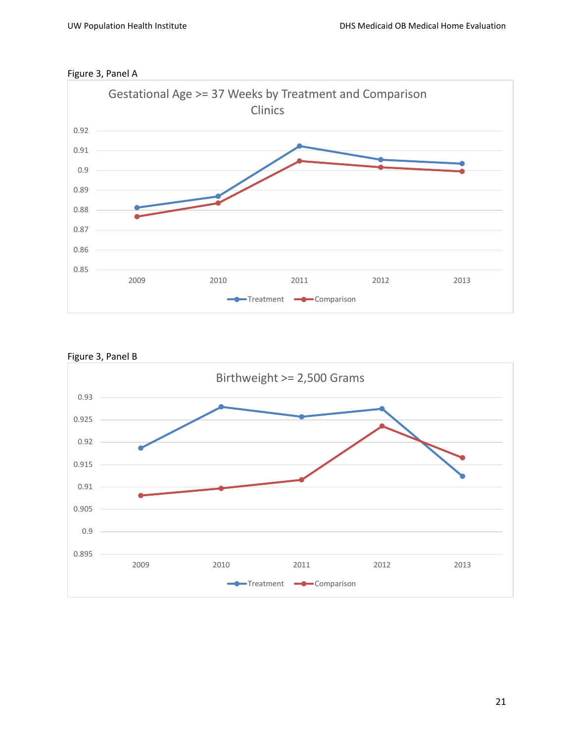



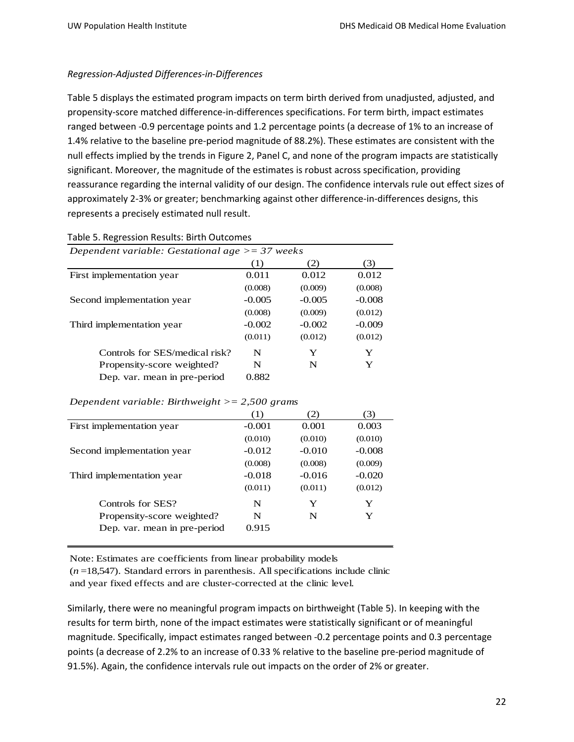# *Regression-Adjusted Differences-in-Differences*

Table 5 displays the estimated program impacts on term birth derived from unadjusted, adjusted, and propensity-score matched difference-in-differences specifications. For term birth, impact estimates ranged between -0.9 percentage points and 1.2 percentage points (a decrease of 1% to an increase of 1.4% relative to the baseline pre-period magnitude of 88.2%). These estimates are consistent with the null effects implied by the trends in Figure 2, Panel C, and none of the program impacts are statistically significant. Moreover, the magnitude of the estimates is robust across specification, providing reassurance regarding the internal validity of our design. The confidence intervals rule out effect sizes of approximately 2-3% or greater; benchmarking against other difference-in-differences designs, this represents a precisely estimated null result.

| Dependent variable: Gestational age $\geq$ = 37 weeks |          |          |          |
|-------------------------------------------------------|----------|----------|----------|
|                                                       | (1)      | (2)      | (3)      |
| First implementation year                             | 0.011    | 0.012    | 0.012    |
|                                                       | (0.008)  | (0.009)  | (0.008)  |
| Second implementation year                            | $-0.005$ | $-0.005$ | $-0.008$ |
|                                                       | (0.008)  | (0.009)  | (0.012)  |
| Third implementation year                             | $-0.002$ | $-0.002$ | $-0.009$ |
|                                                       | (0.011)  | (0.012)  | (0.012)  |
| Controls for SES/medical risk?                        | N        | Y        | Y        |
| Propensity-score weighted?                            | N        | N        | Y        |
| Dep. var. mean in pre-period                          | 0.882    |          |          |

#### Table 5. Regression Results: Birth Outcomes

#### *Dependent variable: Birthweight >= 2,500 grams*

|                              | (1)      | (2)      | (3)      |
|------------------------------|----------|----------|----------|
| First implementation year    | $-0.001$ | 0.001    | 0.003    |
|                              | (0.010)  | (0.010)  | (0.010)  |
| Second implementation year   | $-0.012$ | $-0.010$ | $-0.008$ |
|                              | (0.008)  | (0.008)  | (0.009)  |
| Third implementation year    | $-0.018$ | $-0.016$ | $-0.020$ |
|                              | (0.011)  | (0.011)  | (0.012)  |
| Controls for SES?            | N        | Y        | Y        |
| Propensity-score weighted?   | N        | N        | Y        |
| Dep. var. mean in pre-period | 0.915    |          |          |

Note: Estimates are coefficients from linear probability models

(*n* =18,547). Standard errors in parenthesis. All specifications include clinic and year fixed effects and are cluster-corrected at the clinic level.

Similarly, there were no meaningful program impacts on birthweight (Table 5). In keeping with the results for term birth, none of the impact estimates were statistically significant or of meaningful magnitude. Specifically, impact estimates ranged between -0.2 percentage points and 0.3 percentage points (a decrease of 2.2% to an increase of 0.33 % relative to the baseline pre-period magnitude of 91.5%). Again, the confidence intervals rule out impacts on the order of 2% or greater.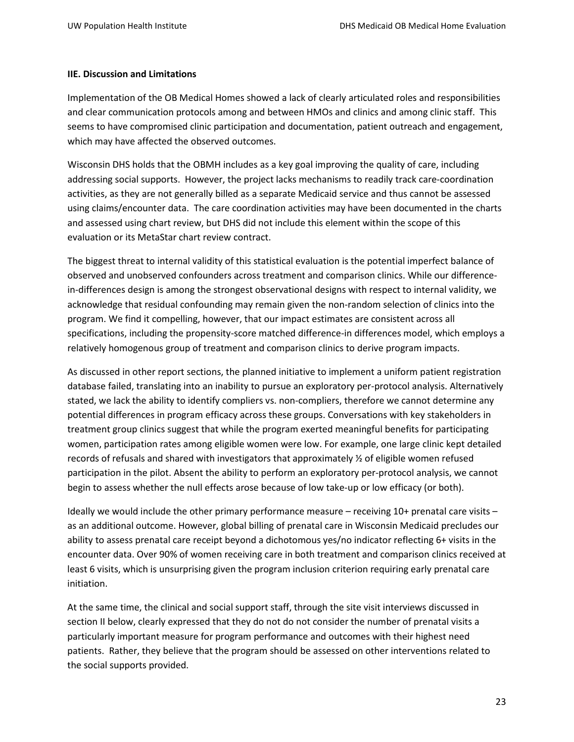#### **IIE. Discussion and Limitations**

Implementation of the OB Medical Homes showed a lack of clearly articulated roles and responsibilities and clear communication protocols among and between HMOs and clinics and among clinic staff. This seems to have compromised clinic participation and documentation, patient outreach and engagement, which may have affected the observed outcomes.

Wisconsin DHS holds that the OBMH includes as a key goal improving the quality of care, including addressing social supports. However, the project lacks mechanisms to readily track care-coordination activities, as they are not generally billed as a separate Medicaid service and thus cannot be assessed using claims/encounter data. The care coordination activities may have been documented in the charts and assessed using chart review, but DHS did not include this element within the scope of this evaluation or its MetaStar chart review contract.

The biggest threat to internal validity of this statistical evaluation is the potential imperfect balance of observed and unobserved confounders across treatment and comparison clinics. While our differencein-differences design is among the strongest observational designs with respect to internal validity, we acknowledge that residual confounding may remain given the non-random selection of clinics into the program. We find it compelling, however, that our impact estimates are consistent across all specifications, including the propensity-score matched difference-in differences model, which employs a relatively homogenous group of treatment and comparison clinics to derive program impacts.

As discussed in other report sections, the planned initiative to implement a uniform patient registration database failed, translating into an inability to pursue an exploratory per-protocol analysis. Alternatively stated, we lack the ability to identify compliers vs. non-compliers, therefore we cannot determine any potential differences in program efficacy across these groups. Conversations with key stakeholders in treatment group clinics suggest that while the program exerted meaningful benefits for participating women, participation rates among eligible women were low. For example, one large clinic kept detailed records of refusals and shared with investigators that approximately ½ of eligible women refused participation in the pilot. Absent the ability to perform an exploratory per-protocol analysis, we cannot begin to assess whether the null effects arose because of low take-up or low efficacy (or both).

Ideally we would include the other primary performance measure – receiving 10+ prenatal care visits – as an additional outcome. However, global billing of prenatal care in Wisconsin Medicaid precludes our ability to assess prenatal care receipt beyond a dichotomous yes/no indicator reflecting 6+ visits in the encounter data. Over 90% of women receiving care in both treatment and comparison clinics received at least 6 visits, which is unsurprising given the program inclusion criterion requiring early prenatal care initiation.

At the same time, the clinical and social support staff, through the site visit interviews discussed in section II below, clearly expressed that they do not do not consider the number of prenatal visits a particularly important measure for program performance and outcomes with their highest need patients. Rather, they believe that the program should be assessed on other interventions related to the social supports provided.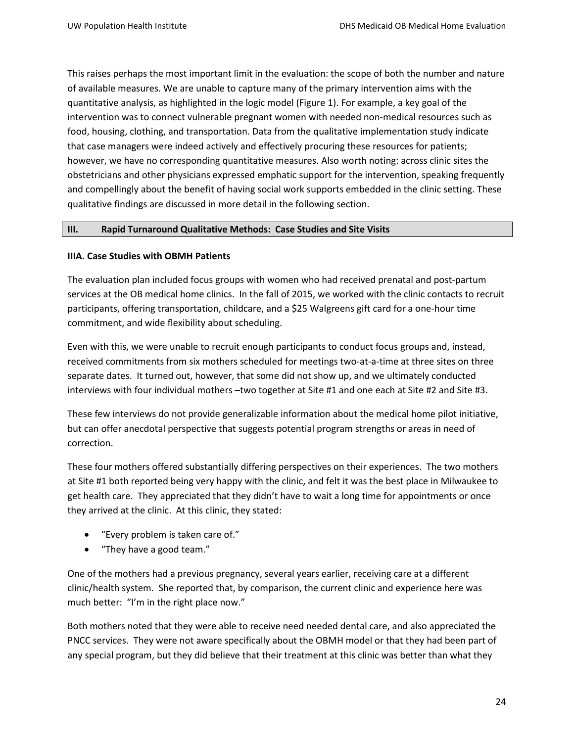This raises perhaps the most important limit in the evaluation: the scope of both the number and nature of available measures. We are unable to capture many of the primary intervention aims with the quantitative analysis, as highlighted in the logic model (Figure 1). For example, a key goal of the intervention was to connect vulnerable pregnant women with needed non-medical resources such as food, housing, clothing, and transportation. Data from the qualitative implementation study indicate that case managers were indeed actively and effectively procuring these resources for patients; however, we have no corresponding quantitative measures. Also worth noting: across clinic sites the obstetricians and other physicians expressed emphatic support for the intervention, speaking frequently and compellingly about the benefit of having social work supports embedded in the clinic setting. These qualitative findings are discussed in more detail in the following section.

#### **III. Rapid Turnaround Qualitative Methods: Case Studies and Site Visits**

### **IIIA. Case Studies with OBMH Patients**

The evaluation plan included focus groups with women who had received prenatal and post-partum services at the OB medical home clinics. In the fall of 2015, we worked with the clinic contacts to recruit participants, offering transportation, childcare, and a \$25 Walgreens gift card for a one-hour time commitment, and wide flexibility about scheduling.

Even with this, we were unable to recruit enough participants to conduct focus groups and, instead, received commitments from six mothers scheduled for meetings two-at-a-time at three sites on three separate dates. It turned out, however, that some did not show up, and we ultimately conducted interviews with four individual mothers –two together at Site #1 and one each at Site #2 and Site #3.

These few interviews do not provide generalizable information about the medical home pilot initiative, but can offer anecdotal perspective that suggests potential program strengths or areas in need of correction.

These four mothers offered substantially differing perspectives on their experiences. The two mothers at Site #1 both reported being very happy with the clinic, and felt it was the best place in Milwaukee to get health care. They appreciated that they didn't have to wait a long time for appointments or once they arrived at the clinic. At this clinic, they stated:

- "Every problem is taken care of."
- "They have a good team."

One of the mothers had a previous pregnancy, several years earlier, receiving care at a different clinic/health system. She reported that, by comparison, the current clinic and experience here was much better: "I'm in the right place now."

Both mothers noted that they were able to receive need needed dental care, and also appreciated the PNCC services. They were not aware specifically about the OBMH model or that they had been part of any special program, but they did believe that their treatment at this clinic was better than what they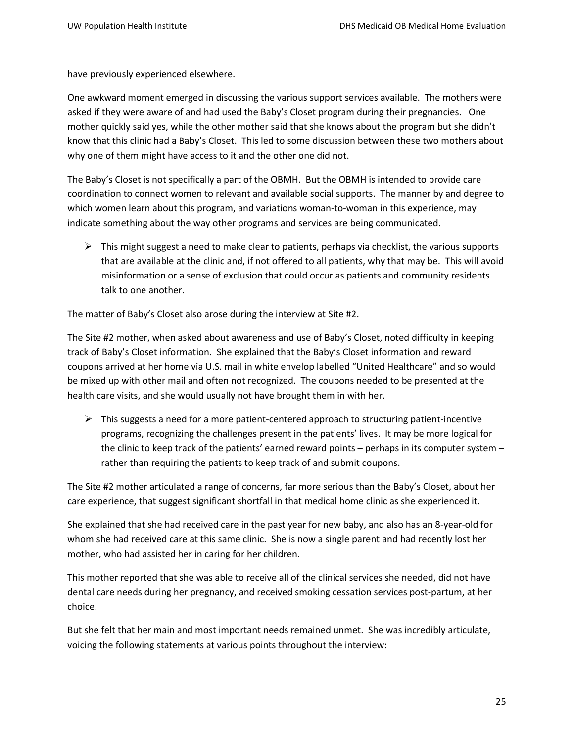have previously experienced elsewhere.

One awkward moment emerged in discussing the various support services available. The mothers were asked if they were aware of and had used the Baby's Closet program during their pregnancies. One mother quickly said yes, while the other mother said that she knows about the program but she didn't know that this clinic had a Baby's Closet. This led to some discussion between these two mothers about why one of them might have access to it and the other one did not.

The Baby's Closet is not specifically a part of the OBMH. But the OBMH is intended to provide care coordination to connect women to relevant and available social supports. The manner by and degree to which women learn about this program, and variations woman-to-woman in this experience, may indicate something about the way other programs and services are being communicated.

 $\triangleright$  This might suggest a need to make clear to patients, perhaps via checklist, the various supports that are available at the clinic and, if not offered to all patients, why that may be. This will avoid misinformation or a sense of exclusion that could occur as patients and community residents talk to one another.

The matter of Baby's Closet also arose during the interview at Site #2.

The Site #2 mother, when asked about awareness and use of Baby's Closet, noted difficulty in keeping track of Baby's Closet information. She explained that the Baby's Closet information and reward coupons arrived at her home via U.S. mail in white envelop labelled "United Healthcare" and so would be mixed up with other mail and often not recognized. The coupons needed to be presented at the health care visits, and she would usually not have brought them in with her.

 $\triangleright$  This suggests a need for a more patient-centered approach to structuring patient-incentive programs, recognizing the challenges present in the patients' lives. It may be more logical for the clinic to keep track of the patients' earned reward points – perhaps in its computer system – rather than requiring the patients to keep track of and submit coupons.

The Site #2 mother articulated a range of concerns, far more serious than the Baby's Closet, about her care experience, that suggest significant shortfall in that medical home clinic as she experienced it.

She explained that she had received care in the past year for new baby, and also has an 8-year-old for whom she had received care at this same clinic. She is now a single parent and had recently lost her mother, who had assisted her in caring for her children.

This mother reported that she was able to receive all of the clinical services she needed, did not have dental care needs during her pregnancy, and received smoking cessation services post-partum, at her choice.

But she felt that her main and most important needs remained unmet. She was incredibly articulate, voicing the following statements at various points throughout the interview: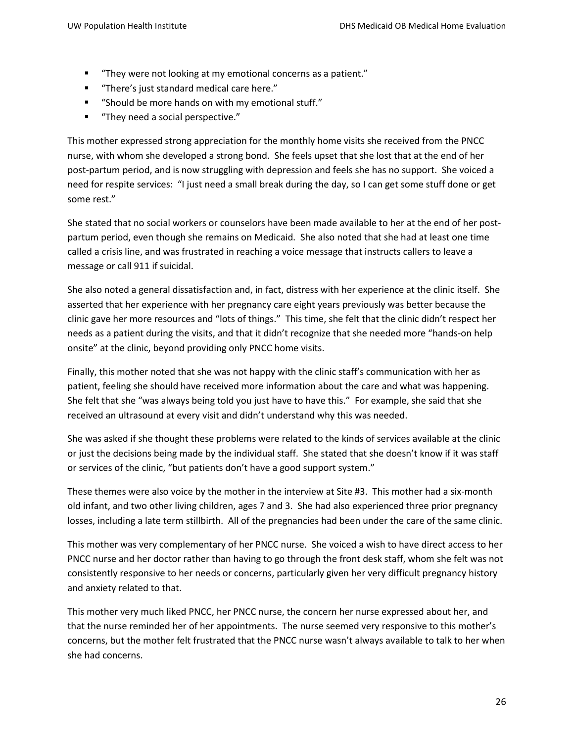- "They were not looking at my emotional concerns as a patient."
- "There's just standard medical care here."
- "Should be more hands on with my emotional stuff."
- "They need a social perspective."

This mother expressed strong appreciation for the monthly home visits she received from the PNCC nurse, with whom she developed a strong bond. She feels upset that she lost that at the end of her post-partum period, and is now struggling with depression and feels she has no support. She voiced a need for respite services: "I just need a small break during the day, so I can get some stuff done or get some rest."

She stated that no social workers or counselors have been made available to her at the end of her postpartum period, even though she remains on Medicaid. She also noted that she had at least one time called a crisis line, and was frustrated in reaching a voice message that instructs callers to leave a message or call 911 if suicidal.

She also noted a general dissatisfaction and, in fact, distress with her experience at the clinic itself. She asserted that her experience with her pregnancy care eight years previously was better because the clinic gave her more resources and "lots of things." This time, she felt that the clinic didn't respect her needs as a patient during the visits, and that it didn't recognize that she needed more "hands-on help onsite" at the clinic, beyond providing only PNCC home visits.

Finally, this mother noted that she was not happy with the clinic staff's communication with her as patient, feeling she should have received more information about the care and what was happening. She felt that she "was always being told you just have to have this." For example, she said that she received an ultrasound at every visit and didn't understand why this was needed.

She was asked if she thought these problems were related to the kinds of services available at the clinic or just the decisions being made by the individual staff. She stated that she doesn't know if it was staff or services of the clinic, "but patients don't have a good support system."

These themes were also voice by the mother in the interview at Site #3. This mother had a six-month old infant, and two other living children, ages 7 and 3. She had also experienced three prior pregnancy losses, including a late term stillbirth. All of the pregnancies had been under the care of the same clinic.

This mother was very complementary of her PNCC nurse. She voiced a wish to have direct access to her PNCC nurse and her doctor rather than having to go through the front desk staff, whom she felt was not consistently responsive to her needs or concerns, particularly given her very difficult pregnancy history and anxiety related to that.

This mother very much liked PNCC, her PNCC nurse, the concern her nurse expressed about her, and that the nurse reminded her of her appointments. The nurse seemed very responsive to this mother's concerns, but the mother felt frustrated that the PNCC nurse wasn't always available to talk to her when she had concerns.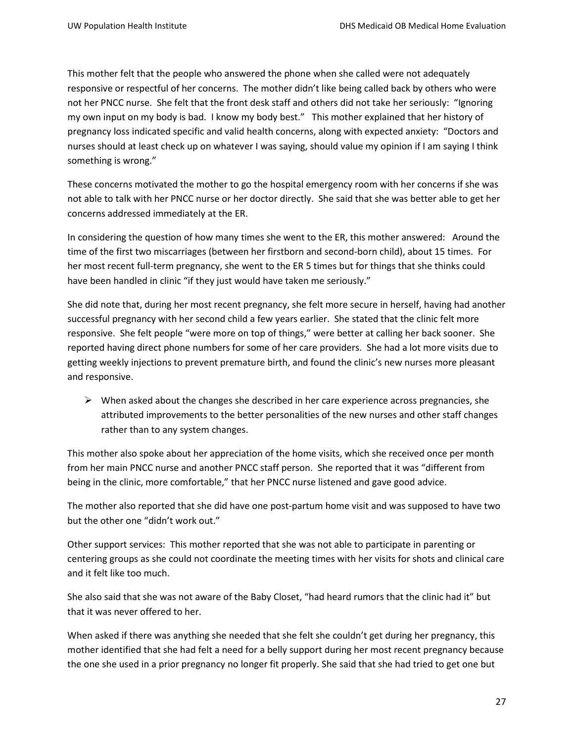This mother felt that the people who answered the phone when she called were not adequately responsive or respectful of her concerns. The mother didn't like being called back by others who were not her PNCC nurse. She felt that the front desk staff and others did not take her seriously: "Ignoring my own input on my body is bad. I know my body best." This mother explained that her history of pregnancy loss indicated specific and valid health concerns, along with expected anxiety: "Doctors and nurses should at least check up on whatever I was saying, should value my opinion if I am saying I think something is wrong."

These concerns motivated the mother to go the hospital emergency room with her concerns if she was not able to talk with her PNCC nurse or her doctor directly. She said that she was better able to get her concerns addressed immediately at the ER.

In considering the question of how many times she went to the ER, this mother answered: Around the time of the first two miscarriages (between her firstborn and second-born child), about 15 times. For her most recent full-term pregnancy, she went to the ER 5 times but for things that she thinks could have been handled in clinic "if they just would have taken me seriously."

She did note that, during her most recent pregnancy, she felt more secure in herself, having had another successful pregnancy with her second child a few years earlier. She stated that the clinic felt more responsive. She felt people "were more on top of things," were better at calling her back sooner. She reported having direct phone numbers for some of her care providers. She had a lot more visits due to getting weekly injections to prevent premature birth, and found the clinic's new nurses more pleasant and responsive.

 $\triangleright$  When asked about the changes she described in her care experience across pregnancies, she attributed improvements to the better personalities of the new nurses and other staff changes rather than to any system changes.

This mother also spoke about her appreciation of the home visits, which she received once per month from her main PNCC nurse and another PNCC staff person. She reported that it was "different from being in the clinic, more comfortable," that her PNCC nurse listened and gave good advice.

The mother also reported that she did have one post-partum home visit and was supposed to have two but the other one "didn't work out."

Other support services: This mother reported that she was not able to participate in parenting or centering groups as she could not coordinate the meeting times with her visits for shots and clinical care and it felt like too much.

She also said that she was not aware of the Baby Closet, "had heard rumors that the clinic had it" but that it was never offered to her.

When asked if there was anything she needed that she felt she couldn't get during her pregnancy, this mother identified that she had felt a need for a belly support during her most recent pregnancy because the one she used in a prior pregnancy no longer fit properly. She said that she had tried to get one but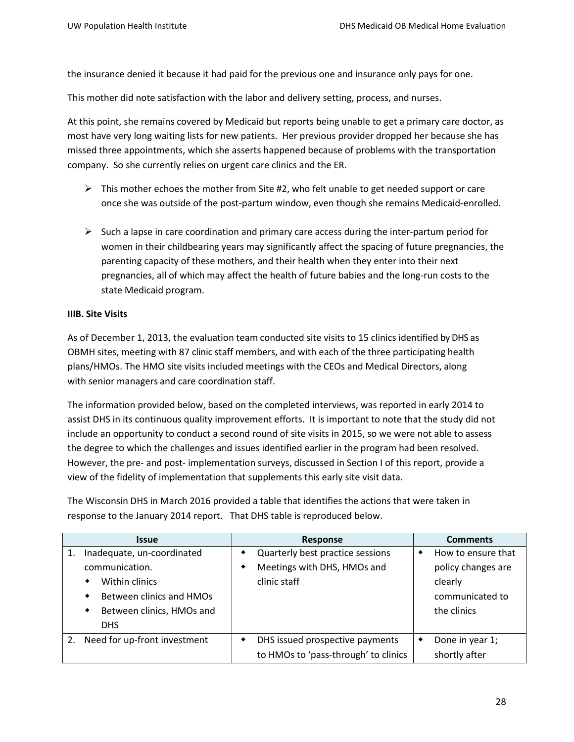the insurance denied it because it had paid for the previous one and insurance only pays for one.

This mother did note satisfaction with the labor and delivery setting, process, and nurses.

At this point, she remains covered by Medicaid but reports being unable to get a primary care doctor, as most have very long waiting lists for new patients. Her previous provider dropped her because she has missed three appointments, which she asserts happened because of problems with the transportation company. So she currently relies on urgent care clinics and the ER.

- $\triangleright$  This mother echoes the mother from Site #2, who felt unable to get needed support or care once she was outside of the post-partum window, even though she remains Medicaid-enrolled.
- $\triangleright$  Such a lapse in care coordination and primary care access during the inter-partum period for women in their childbearing years may significantly affect the spacing of future pregnancies, the parenting capacity of these mothers, and their health when they enter into their next pregnancies, all of which may affect the health of future babies and the long-run costs to the state Medicaid program.

### **IIIB. Site Visits**

As of December 1, 2013, the evaluation team conducted site visits to 15 clinics identified by DHS as OBMH sites, meeting with 87 clinic staff members, and with each of the three participating health plans/HMOs. The HMO site visits included meetings with the CEOs and Medical Directors, along with senior managers and care coordination staff.

The information provided below, based on the completed interviews, was reported in early 2014 to assist DHS in its continuous quality improvement efforts. It is important to note that the study did not include an opportunity to conduct a second round of site visits in 2015, so we were not able to assess the degree to which the challenges and issues identified earlier in the program had been resolved. However, the pre- and post- implementation surveys, discussed in Section I of this report, provide a view of the fidelity of implementation that supplements this early site visit data.

The Wisconsin DHS in March 2016 provided a table that identifies the actions that were taken in response to the January 2014 report. That DHS table is reproduced below.

| <b>Issue</b> |                                | Response |                                      | <b>Comments</b> |                    |
|--------------|--------------------------------|----------|--------------------------------------|-----------------|--------------------|
| 1.           | Inadequate, un-coordinated     |          | Quarterly best practice sessions     | ٠               | How to ensure that |
|              | communication.                 |          | Meetings with DHS, HMOs and          |                 | policy changes are |
|              | Within clinics<br>٠            |          | clinic staff                         |                 | clearly            |
|              | Between clinics and HMOs       |          |                                      |                 | communicated to    |
|              | Between clinics, HMOs and<br>٠ |          |                                      |                 | the clinics        |
|              | DHS.                           |          |                                      |                 |                    |
| 2.           | Need for up-front investment   |          | DHS issued prospective payments      |                 | Done in year 1;    |
|              |                                |          | to HMOs to 'pass-through' to clinics |                 | shortly after      |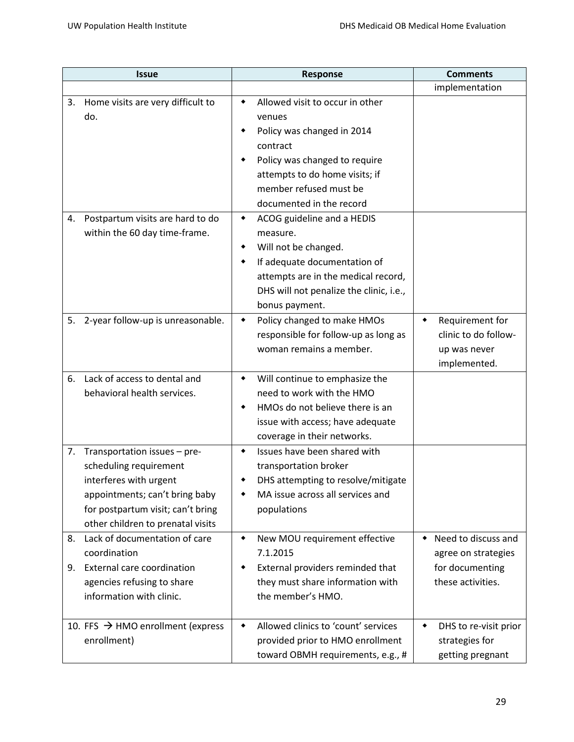| <b>Issue</b> |                                                                                                                                                                                              | <b>Response</b>                                                                                                                                                                                                                                                                                                                                                                                                           | <b>Comments</b>                                                                         |
|--------------|----------------------------------------------------------------------------------------------------------------------------------------------------------------------------------------------|---------------------------------------------------------------------------------------------------------------------------------------------------------------------------------------------------------------------------------------------------------------------------------------------------------------------------------------------------------------------------------------------------------------------------|-----------------------------------------------------------------------------------------|
|              |                                                                                                                                                                                              |                                                                                                                                                                                                                                                                                                                                                                                                                           | implementation                                                                          |
| 3.<br>4.     | Home visits are very difficult to<br>do.<br>Postpartum visits are hard to do<br>within the 60 day time-frame.                                                                                | Allowed visit to occur in other<br>٠<br>venues<br>Policy was changed in 2014<br>٠<br>contract<br>Policy was changed to require<br>attempts to do home visits; if<br>member refused must be<br>documented in the record<br>ACOG guideline and a HEDIS<br>٠<br>measure.<br>Will not be changed.<br>٠<br>If adequate documentation of<br>٠<br>attempts are in the medical record,<br>DHS will not penalize the clinic, i.e., |                                                                                         |
| 5.           | 2-year follow-up is unreasonable.                                                                                                                                                            | bonus payment.<br>Policy changed to make HMOs<br>٠<br>responsible for follow-up as long as<br>woman remains a member.                                                                                                                                                                                                                                                                                                     | Requirement for<br>۰<br>clinic to do follow-<br>up was never<br>implemented.            |
| 6.           | Lack of access to dental and<br>behavioral health services.                                                                                                                                  | Will continue to emphasize the<br>٠<br>need to work with the HMO<br>HMOs do not believe there is an<br>٠<br>issue with access; have adequate<br>coverage in their networks.                                                                                                                                                                                                                                               |                                                                                         |
| 7.           | Transportation issues - pre-<br>scheduling requirement<br>interferes with urgent<br>appointments; can't bring baby<br>for postpartum visit; can't bring<br>other children to prenatal visits | Issues have been shared with<br>٠<br>transportation broker<br>DHS attempting to resolve/mitigate<br>MA issue across all services and<br>populations                                                                                                                                                                                                                                                                       |                                                                                         |
| 8.<br>9.     | Lack of documentation of care<br>coordination<br>External care coordination<br>agencies refusing to share<br>information with clinic.                                                        | New MOU requirement effective<br>٠<br>7.1.2015<br>External providers reminded that<br>they must share information with<br>the member's HMO.                                                                                                                                                                                                                                                                               | Need to discuss and<br>٠<br>agree on strategies<br>for documenting<br>these activities. |
|              | 10. FFS $\rightarrow$ HMO enrollment (express<br>enrollment)                                                                                                                                 | Allowed clinics to 'count' services<br>٠<br>provided prior to HMO enrollment<br>toward OBMH requirements, e.g., #                                                                                                                                                                                                                                                                                                         | DHS to re-visit prior<br>٠<br>strategies for<br>getting pregnant                        |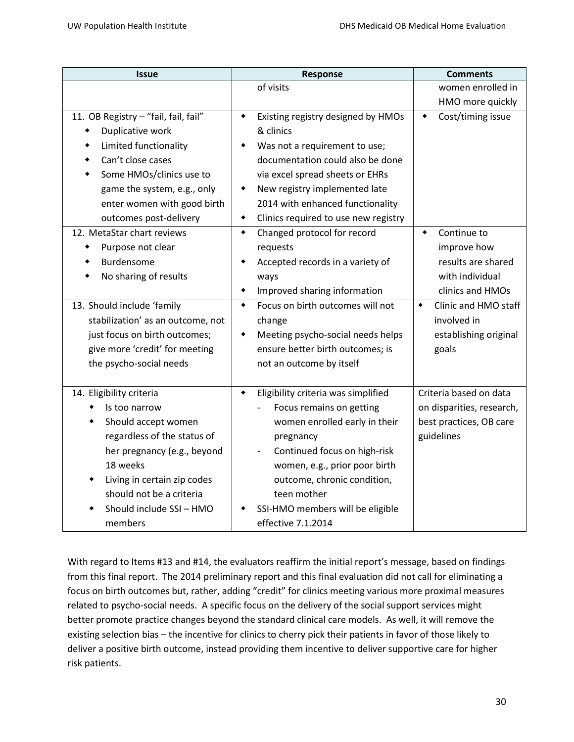| <b>Issue</b>                         | Response                                  | <b>Comments</b>                |  |
|--------------------------------------|-------------------------------------------|--------------------------------|--|
|                                      | of visits                                 | women enrolled in              |  |
|                                      |                                           | HMO more quickly               |  |
| 11. OB Registry - "fail, fail, fail" | Existing registry designed by HMOs<br>٠   | Cost/timing issue<br>٠         |  |
| Duplicative work<br>٠                | & clinics                                 |                                |  |
| Limited functionality<br>٠           | Was not a requirement to use;             |                                |  |
| Can't close cases                    | documentation could also be done          |                                |  |
| Some HMOs/clinics use to             | via excel spread sheets or EHRs           |                                |  |
| game the system, e.g., only          | New registry implemented late<br>٠        |                                |  |
| enter women with good birth          | 2014 with enhanced functionality          |                                |  |
| outcomes post-delivery               | Clinics required to use new registry<br>٠ |                                |  |
| 12. MetaStar chart reviews           | Changed protocol for record<br>٠          | Continue to<br>$\blacklozenge$ |  |
| Purpose not clear                    | requests                                  | improve how                    |  |
| Burdensome                           | Accepted records in a variety of          | results are shared             |  |
| No sharing of results                | ways                                      | with individual                |  |
|                                      | Improved sharing information              | clinics and HMOs               |  |
| 13. Should include 'family           | Focus on birth outcomes will not<br>٠     | Clinic and HMO staff<br>٠      |  |
| stabilization' as an outcome, not    | change                                    | involved in                    |  |
| just focus on birth outcomes;        | Meeting psycho-social needs helps         | establishing original          |  |
| give more 'credit' for meeting       | ensure better birth outcomes; is          | goals                          |  |
| the psycho-social needs              | not an outcome by itself                  |                                |  |
|                                      |                                           |                                |  |
| 14. Eligibility criteria             | Eligibility criteria was simplified<br>٠  | Criteria based on data         |  |
| Is too narrow                        | Focus remains on getting                  | on disparities, research,      |  |
| Should accept women                  | women enrolled early in their             | best practices, OB care        |  |
| regardless of the status of          | pregnancy                                 | guidelines                     |  |
| her pregnancy (e.g., beyond          | Continued focus on high-risk              |                                |  |
| 18 weeks                             | women, e.g., prior poor birth             |                                |  |
| Living in certain zip codes          | outcome, chronic condition,               |                                |  |
| should not be a criteria             | teen mother                               |                                |  |
| Should include SSI - HMO             | SSI-HMO members will be eligible          |                                |  |
| members                              | effective 7.1.2014                        |                                |  |

With regard to Items #13 and #14, the evaluators reaffirm the initial report's message, based on findings from this final report. The 2014 preliminary report and this final evaluation did not call for eliminating a focus on birth outcomes but, rather, adding "credit" for clinics meeting various more proximal measures related to psycho-social needs. A specific focus on the delivery of the social support services might better promote practice changes beyond the standard clinical care models. As well, it will remove the existing selection bias – the incentive for clinics to cherry pick their patients in favor of those likely to deliver a positive birth outcome, instead providing them incentive to deliver supportive care for higher risk patients.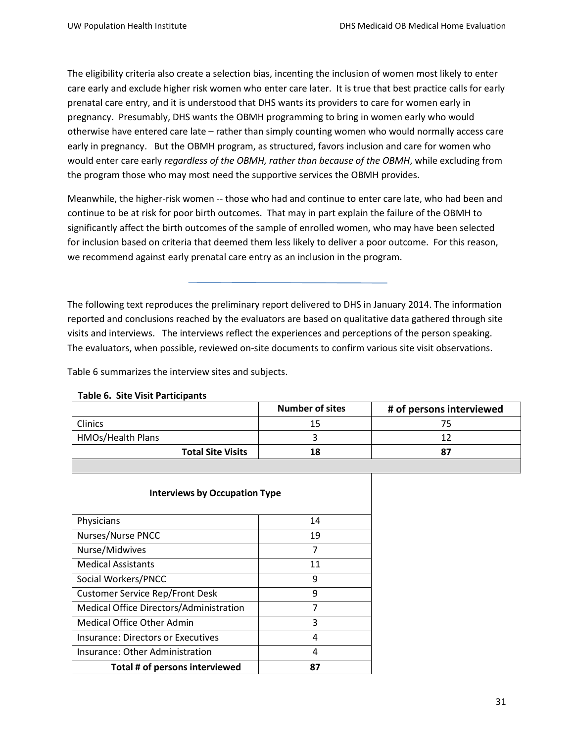The eligibility criteria also create a selection bias, incenting the inclusion of women most likely to enter care early and exclude higher risk women who enter care later. It is true that best practice calls for early prenatal care entry, and it is understood that DHS wants its providers to care for women early in pregnancy. Presumably, DHS wants the OBMH programming to bring in women early who would otherwise have entered care late – rather than simply counting women who would normally access care early in pregnancy. But the OBMH program, as structured, favors inclusion and care for women who would enter care early *regardless of the OBMH, rather than because of the OBMH*, while excluding from the program those who may most need the supportive services the OBMH provides.

Meanwhile, the higher-risk women -- those who had and continue to enter care late, who had been and continue to be at risk for poor birth outcomes. That may in part explain the failure of the OBMH to significantly affect the birth outcomes of the sample of enrolled women, who may have been selected for inclusion based on criteria that deemed them less likely to deliver a poor outcome. For this reason, we recommend against early prenatal care entry as an inclusion in the program.

The following text reproduces the preliminary report delivered to DHS in January 2014. The information reported and conclusions reached by the evaluators are based on qualitative data gathered through site visits and interviews. The interviews reflect the experiences and perceptions of the person speaking. The evaluators, when possible, reviewed on-site documents to confirm various site visit observations.

Table 6 summarizes the interview sites and subjects.

| <b>Number of sites</b> | # of persons interviewed |
|------------------------|--------------------------|
| 15                     | $^{\prime}$              |
|                        |                          |
| 18                     | 87                       |
|                        |                          |

#### **Table 6. Site Visit Participants**

| <b>Interviews by Occupation Type</b>    |    |  |
|-----------------------------------------|----|--|
| Physicians                              | 14 |  |
| <b>Nurses/Nurse PNCC</b>                | 19 |  |
| Nurse/Midwives                          | 7  |  |
| <b>Medical Assistants</b>               | 11 |  |
| Social Workers/PNCC                     | 9  |  |
| <b>Customer Service Rep/Front Desk</b>  | 9  |  |
| Medical Office Directors/Administration | 7  |  |
| Medical Office Other Admin              | 3  |  |
| Insurance: Directors or Executives      | 4  |  |
| Insurance: Other Administration         | 4  |  |
| Total # of persons interviewed          | 87 |  |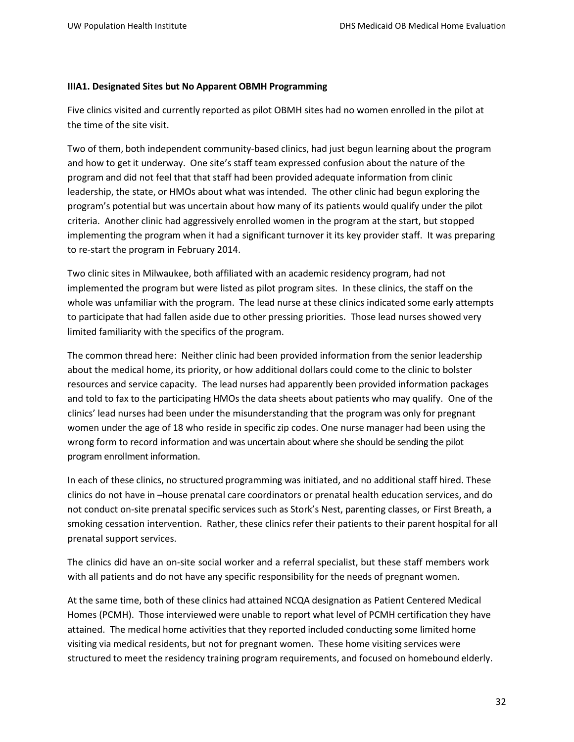#### **IIIA1. Designated Sites but No Apparent OBMH Programming**

Five clinics visited and currently reported as pilot OBMH sites had no women enrolled in the pilot at the time of the site visit.

Two of them, both independent community-based clinics, had just begun learning about the program and how to get it underway. One site's staff team expressed confusion about the nature of the program and did not feel that that staff had been provided adequate information from clinic leadership, the state, or HMOs about what was intended. The other clinic had begun exploring the program's potential but was uncertain about how many of its patients would qualify under the pilot criteria. Another clinic had aggressively enrolled women in the program at the start, but stopped implementing the program when it had a significant turnover it its key provider staff. It was preparing to re-start the program in February 2014.

Two clinic sites in Milwaukee, both affiliated with an academic residency program, had not implemented the program but were listed as pilot program sites. In these clinics, the staff on the whole was unfamiliar with the program. The lead nurse at these clinics indicated some early attempts to participate that had fallen aside due to other pressing priorities. Those lead nurses showed very limited familiarity with the specifics of the program.

The common thread here: Neither clinic had been provided information from the senior leadership about the medical home, its priority, or how additional dollars could come to the clinic to bolster resources and service capacity. The lead nurses had apparently been provided information packages and told to fax to the participating HMOs the data sheets about patients who may qualify. One of the clinics' lead nurses had been under the misunderstanding that the program was only for pregnant women under the age of 18 who reside in specific zip codes. One nurse manager had been using the wrong form to record information and was uncertain about where she should be sending the pilot program enrollment information.

In each of these clinics, no structured programming was initiated, and no additional staff hired. These clinics do not have in –house prenatal care coordinators or prenatal health education services, and do not conduct on-site prenatal specific services such as Stork's Nest, parenting classes, or First Breath, a smoking cessation intervention. Rather, these clinics refer their patients to their parent hospital for all prenatal support services.

The clinics did have an on-site social worker and a referral specialist, but these staff members work with all patients and do not have any specific responsibility for the needs of pregnant women.

At the same time, both of these clinics had attained NCQA designation as Patient Centered Medical Homes (PCMH). Those interviewed were unable to report what level of PCMH certification they have attained. The medical home activities that they reported included conducting some limited home visiting via medical residents, but not for pregnant women. These home visiting services were structured to meet the residency training program requirements, and focused on homebound elderly.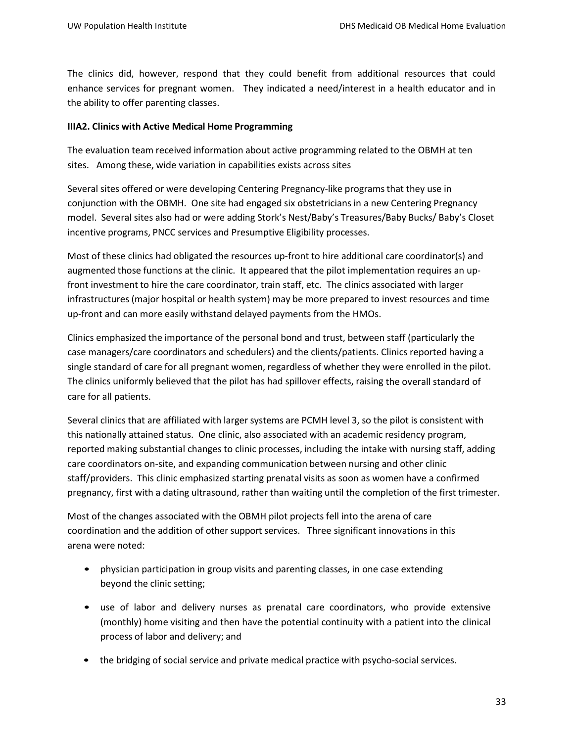The clinics did, however, respond that they could benefit from additional resources that could enhance services for pregnant women. They indicated a need/interest in a health educator and in the ability to offer parenting classes.

#### **IIIA2. Clinics with Active Medical Home Programming**

The evaluation team received information about active programming related to the OBMH at ten sites. Among these, wide variation in capabilities exists across sites

Several sites offered or were developing Centering Pregnancy-like programsthat they use in conjunction with the OBMH. One site had engaged six obstetricians in a new Centering Pregnancy model. Several sites also had or were adding Stork's Nest/Baby's Treasures/Baby Bucks/ Baby's Closet incentive programs, PNCC services and Presumptive Eligibility processes.

Most of these clinics had obligated the resources up-front to hire additional care coordinator(s) and augmented those functions at the clinic. It appeared that the pilot implementation requires an upfront investment to hire the care coordinator, train staff, etc. The clinics associated with larger infrastructures (major hospital or health system) may be more prepared to invest resources and time up-front and can more easily withstand delayed payments from the HMOs.

Clinics emphasized the importance of the personal bond and trust, between staff (particularly the case managers/care coordinators and schedulers) and the clients/patients. Clinics reported having a single standard of care for all pregnant women, regardless of whether they were enrolled in the pilot. The clinics uniformly believed that the pilot has had spillover effects, raising the overall standard of care for all patients.

Several clinics that are affiliated with larger systems are PCMH level 3, so the pilot is consistent with this nationally attained status. One clinic, also associated with an academic residency program, reported making substantial changes to clinic processes, including the intake with nursing staff, adding care coordinators on-site, and expanding communication between nursing and other clinic staff/providers. This clinic emphasized starting prenatal visits as soon as women have a confirmed pregnancy, first with a dating ultrasound, rather than waiting until the completion of the first trimester.

Most of the changes associated with the OBMH pilot projects fell into the arena of care coordination and the addition of other support services. Three significant innovations in this arena were noted:

- physician participation in group visits and parenting classes, in one case extending beyond the clinic setting;
- use of labor and delivery nurses as prenatal care coordinators, who provide extensive (monthly) home visiting and then have the potential continuity with a patient into the clinical process of labor and delivery; and
- the bridging of social service and private medical practice with psycho-social services.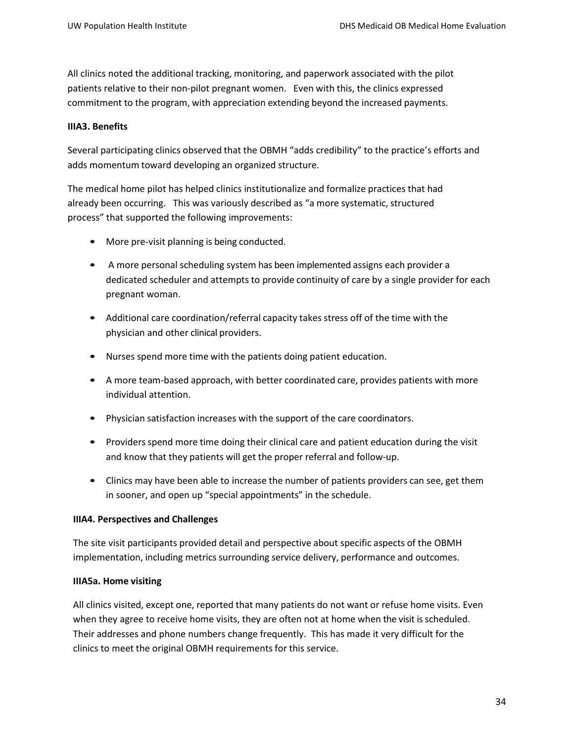All clinics noted the additional tracking, monitoring, and paperwork associated with the pilot patients relative to their non-pilot pregnant women. Even with this, the clinics expressed commitment to the program, with appreciation extending beyond the increased payments.

### **IIIA3. Benefits**

Several participating clinics observed that the OBMH "adds credibility" to the practice's efforts and adds momentum toward developing an organized structure.

The medical home pilot has helped clinics institutionalize and formalize practices that had already been occurring. This was variously described as "a more systematic, structured process" that supported the following improvements:

- More pre-visit planning is being conducted.
- A more personal scheduling system has been implemented assigns each provider a dedicated scheduler and attempts to provide continuity of care by a single provider for each pregnant woman.
- Additional care coordination/referral capacity takes stress off of the time with the physician and other clinical providers.
- Nurses spend more time with the patients doing patient education.
- A more team-based approach, with better coordinated care, provides patients with more individual attention.
- Physician satisfaction increases with the support of the care coordinators.
- Providers spend more time doing their clinical care and patient education during the visit and know that they patients will get the proper referral and follow-up.
- Clinics may have been able to increase the number of patients providers can see, get them in sooner, and open up "special appointments" in the schedule.

#### **IIIA4. Perspectives and Challenges**

The site visit participants provided detail and perspective about specific aspects of the OBMH implementation, including metrics surrounding service delivery, performance and outcomes.

#### **IIIA5a. Home visiting**

All clinics visited, except one, reported that many patients do not want or refuse home visits. Even when they agree to receive home visits, they are often not at home when the visit is scheduled. Their addresses and phone numbers change frequently. This has made it very difficult for the clinics to meet the original OBMH requirements for this service.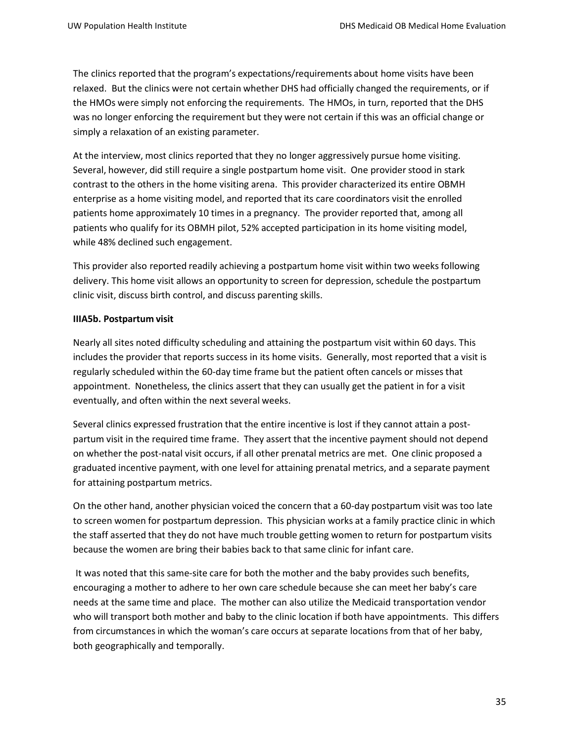The clinics reported that the program's expectations/requirements about home visits have been relaxed. But the clinics were not certain whether DHS had officially changed the requirements, or if the HMOs were simply not enforcing the requirements. The HMOs, in turn, reported that the DHS was no longer enforcing the requirement but they were not certain if this was an official change or simply a relaxation of an existing parameter.

At the interview, most clinics reported that they no longer aggressively pursue home visiting. Several, however, did still require a single postpartum home visit. One provider stood in stark contrast to the others in the home visiting arena. This provider characterized its entire OBMH enterprise as a home visiting model, and reported that its care coordinators visit the enrolled patients home approximately 10 times in a pregnancy. The provider reported that, among all patients who qualify for its OBMH pilot, 52% accepted participation in its home visiting model, while 48% declined such engagement.

This provider also reported readily achieving a postpartum home visit within two weeks following delivery. This home visit allows an opportunity to screen for depression, schedule the postpartum clinic visit, discuss birth control, and discuss parenting skills.

#### **IIIA5b. Postpartum visit**

Nearly all sites noted difficulty scheduling and attaining the postpartum visit within 60 days. This includes the provider that reports success in its home visits. Generally, most reported that a visit is regularly scheduled within the 60-day time frame but the patient often cancels or misses that appointment. Nonetheless, the clinics assert that they can usually get the patient in for a visit eventually, and often within the next several weeks.

Several clinics expressed frustration that the entire incentive is lost if they cannot attain a postpartum visit in the required time frame. They assert that the incentive payment should not depend on whether the post-natal visit occurs, if all other prenatal metrics are met. One clinic proposed a graduated incentive payment, with one level for attaining prenatal metrics, and a separate payment for attaining postpartum metrics.

On the other hand, another physician voiced the concern that a 60-day postpartum visit was too late to screen women for postpartum depression. This physician works at a family practice clinic in which the staff asserted that they do not have much trouble getting women to return for postpartum visits because the women are bring their babies back to that same clinic for infant care.

It was noted that this same-site care for both the mother and the baby provides such benefits, encouraging a mother to adhere to her own care schedule because she can meet her baby's care needs at the same time and place. The mother can also utilize the Medicaid transportation vendor who will transport both mother and baby to the clinic location if both have appointments. This differs from circumstances in which the woman's care occurs at separate locations from that of her baby, both geographically and temporally.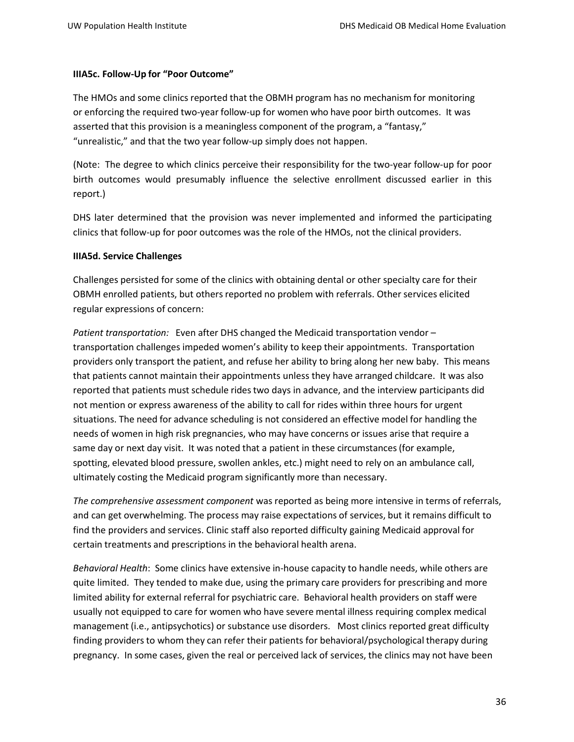#### **IIIA5c. Follow-Up for "Poor Outcome"**

The HMOs and some clinics reported that the OBMH program has no mechanism for monitoring or enforcing the required two-year follow-up for women who have poor birth outcomes. It was asserted that this provision is a meaningless component of the program, a "fantasy," "unrealistic," and that the two year follow-up simply does not happen.

(Note: The degree to which clinics perceive their responsibility for the two-year follow-up for poor birth outcomes would presumably influence the selective enrollment discussed earlier in this report.)

DHS later determined that the provision was never implemented and informed the participating clinics that follow-up for poor outcomes was the role of the HMOs, not the clinical providers.

#### **IIIA5d. Service Challenges**

Challenges persisted for some of the clinics with obtaining dental or other specialty care for their OBMH enrolled patients, but others reported no problem with referrals. Other services elicited regular expressions of concern:

*Patient transportation:* Even after DHS changed the Medicaid transportation vendor – transportation challenges impeded women's ability to keep their appointments. Transportation providers only transport the patient, and refuse her ability to bring along her new baby. This means that patients cannot maintain their appointments unless they have arranged childcare. It was also reported that patients must schedule rides two days in advance, and the interview participants did not mention or express awareness of the ability to call for rides within three hours for urgent situations. The need for advance scheduling is not considered an effective model for handling the needs of women in high risk pregnancies, who may have concerns or issues arise that require a same day or next day visit. It was noted that a patient in these circumstances (for example, spotting, elevated blood pressure, swollen ankles, etc.) might need to rely on an ambulance call, ultimately costing the Medicaid program significantly more than necessary.

*The comprehensive assessment component* was reported as being more intensive in terms of referrals, and can get overwhelming. The process may raise expectations of services, but it remains difficult to find the providers and services. Clinic staff also reported difficulty gaining Medicaid approval for certain treatments and prescriptions in the behavioral health arena.

*Behavioral Health*: Some clinics have extensive in-house capacity to handle needs, while others are quite limited. They tended to make due, using the primary care providers for prescribing and more limited ability for external referral for psychiatric care. Behavioral health providers on staff were usually not equipped to care for women who have severe mental illness requiring complex medical management (i.e., antipsychotics) or substance use disorders. Most clinics reported great difficulty finding providers to whom they can refer their patients for behavioral/psychological therapy during pregnancy. In some cases, given the real or perceived lack of services, the clinics may not have been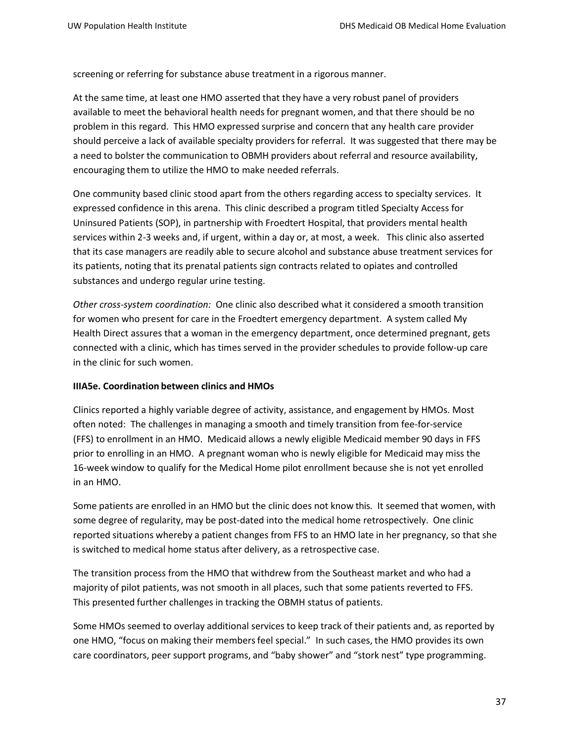screening or referring for substance abuse treatment in a rigorous manner.

At the same time, at least one HMO asserted that they have a very robust panel of providers available to meet the behavioral health needs for pregnant women, and that there should be no problem in this regard. This HMO expressed surprise and concern that any health care provider should perceive a lack of available specialty providers for referral. It was suggested that there may be a need to bolster the communication to OBMH providers about referral and resource availability, encouraging them to utilize the HMO to make needed referrals.

One community based clinic stood apart from the others regarding access to specialty services. It expressed confidence in this arena. This clinic described a program titled Specialty Access for Uninsured Patients (SOP), in partnership with Froedtert Hospital, that providers mental health services within 2-3 weeks and, if urgent, within a day or, at most, a week. This clinic also asserted that its case managers are readily able to secure alcohol and substance abuse treatment services for its patients, noting that its prenatal patients sign contracts related to opiates and controlled substances and undergo regular urine testing.

*Other cross-system coordination:*One clinic also described what it considered a smooth transition for women who present for care in the Froedtert emergency department. A system called My Health Direct assures that a woman in the emergency department, once determined pregnant, gets connected with a clinic, which has times served in the provider schedules to provide follow-up care in the clinic for such women.

#### **IIIA5e. Coordination between clinics and HMOs**

Clinics reported a highly variable degree of activity, assistance, and engagement by HMOs. Most often noted: The challenges in managing a smooth and timely transition from fee-for-service (FFS) to enrollment in an HMO. Medicaid allows a newly eligible Medicaid member 90 days in FFS prior to enrolling in an HMO. A pregnant woman who is newly eligible for Medicaid may miss the 16-week window to qualify for the Medical Home pilot enrollment because she is not yet enrolled in an HMO.

Some patients are enrolled in an HMO but the clinic does not know this. It seemed that women, with some degree of regularity, may be post-dated into the medical home retrospectively. One clinic reported situations whereby a patient changes from FFS to an HMO late in her pregnancy, so that she is switched to medical home status after delivery, as a retrospective case.

The transition process from the HMO that withdrew from the Southeast market and who had a majority of pilot patients, was not smooth in all places, such that some patients reverted to FFS. This presented further challenges in tracking the OBMH status of patients.

Some HMOs seemed to overlay additional services to keep track of their patients and, as reported by one HMO, "focus on making their membersfeel special." In such cases, the HMO provides its own care coordinators, peer support programs, and "baby shower" and "stork nest" type programming.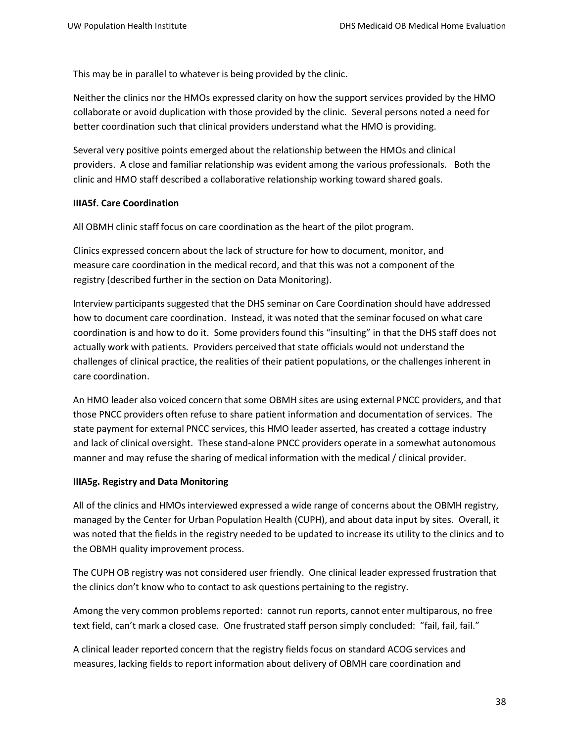This may be in parallel to whatever is being provided by the clinic.

Neither the clinics nor the HMOs expressed clarity on how the support services provided by the HMO collaborate or avoid duplication with those provided by the clinic. Several persons noted a need for better coordination such that clinical providers understand what the HMO is providing.

Several very positive points emerged about the relationship between the HMOs and clinical providers. A close and familiar relationship was evident among the various professionals. Both the clinic and HMO staff described a collaborative relationship working toward shared goals.

### **IIIA5f. Care Coordination**

All OBMH clinic staff focus on care coordination as the heart of the pilot program.

Clinics expressed concern about the lack of structure for how to document, monitor, and measure care coordination in the medical record, and that this was not a component of the registry (described further in the section on Data Monitoring).

Interview participants suggested that the DHS seminar on Care Coordination should have addressed how to document care coordination. Instead, it was noted that the seminar focused on what care coordination is and how to do it. Some providers found this "insulting" in that the DHS staff does not actually work with patients. Providers perceived that state officials would not understand the challenges of clinical practice, the realities of their patient populations, or the challenges inherent in care coordination.

An HMO leader also voiced concern that some OBMH sites are using external PNCC providers, and that those PNCC providers often refuse to share patient information and documentation of services. The state payment for external PNCC services, this HMO leader asserted, has created a cottage industry and lack of clinical oversight. These stand-alone PNCC providers operate in a somewhat autonomous manner and may refuse the sharing of medical information with the medical / clinical provider.

## **IIIA5g. Registry and Data Monitoring**

All of the clinics and HMOs interviewed expressed a wide range of concerns about the OBMH registry, managed by the Center for Urban Population Health (CUPH), and about data input by sites. Overall, it was noted that the fields in the registry needed to be updated to increase its utility to the clinics and to the OBMH quality improvement process.

The CUPH OB registry was not considered user friendly. One clinical leader expressed frustration that the clinics don't know who to contact to ask questions pertaining to the registry.

Among the very common problems reported: cannot run reports, cannot enter multiparous, no free text field, can't mark a closed case. One frustrated staff person simply concluded: "fail, fail, fail."

A clinical leader reported concern that the registry fields focus on standard ACOG services and measures, lacking fields to report information about delivery of OBMH care coordination and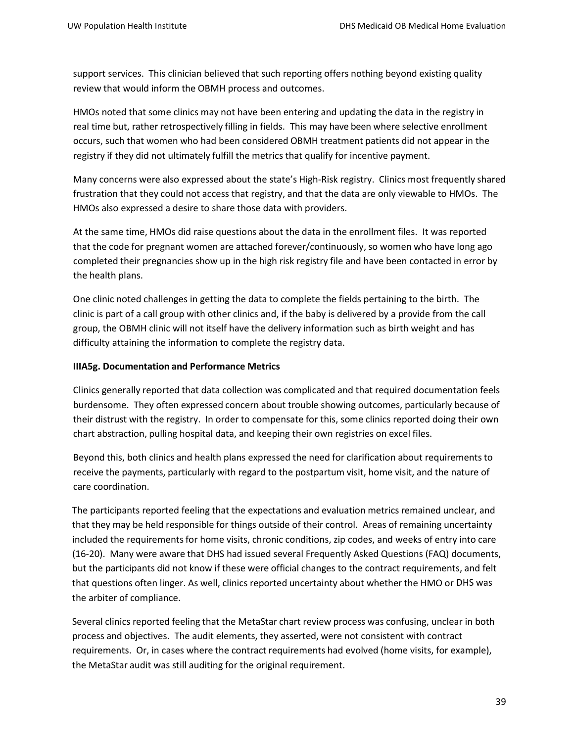support services. This clinician believed that such reporting offers nothing beyond existing quality review that would inform the OBMH process and outcomes.

HMOs noted that some clinics may not have been entering and updating the data in the registry in real time but, rather retrospectively filling in fields. This may have been where selective enrollment occurs, such that women who had been considered OBMH treatment patients did not appear in the registry if they did not ultimately fulfill the metrics that qualify for incentive payment.

Many concerns were also expressed about the state's High-Risk registry. Clinics most frequently shared frustration that they could not access that registry, and that the data are only viewable to HMOs. The HMOs also expressed a desire to share those data with providers.

At the same time, HMOs did raise questions about the data in the enrollment files. It was reported that the code for pregnant women are attached forever/continuously, so women who have long ago completed their pregnancies show up in the high risk registry file and have been contacted in error by the health plans.

One clinic noted challenges in getting the data to complete the fields pertaining to the birth. The clinic is part of a call group with other clinics and, if the baby is delivered by a provide from the call group, the OBMH clinic will not itself have the delivery information such as birth weight and has difficulty attaining the information to complete the registry data.

#### **IIIA5g. Documentation and Performance Metrics**

Clinics generally reported that data collection was complicated and that required documentation feels burdensome. They often expressed concern about trouble showing outcomes, particularly because of their distrust with the registry. In order to compensate for this, some clinics reported doing their own chart abstraction, pulling hospital data, and keeping their own registries on excel files.

Beyond this, both clinics and health plans expressed the need for clarification about requirementsto receive the payments, particularly with regard to the postpartum visit, home visit, and the nature of care coordination.

The participants reported feeling that the expectations and evaluation metrics remained unclear, and that they may be held responsible for things outside of their control. Areas of remaining uncertainty included the requirements for home visits, chronic conditions, zip codes, and weeks of entry into care (16-20). Many were aware that DHS had issued several Frequently Asked Questions (FAQ) documents, but the participants did not know if these were official changes to the contract requirements, and felt that questions often linger. As well, clinics reported uncertainty about whether the HMO or DHS was the arbiter of compliance.

Several clinics reported feeling that the MetaStar chart review process was confusing, unclear in both process and objectives. The audit elements, they asserted, were not consistent with contract requirements. Or, in cases where the contract requirements had evolved (home visits, for example), the MetaStar audit was still auditing for the original requirement.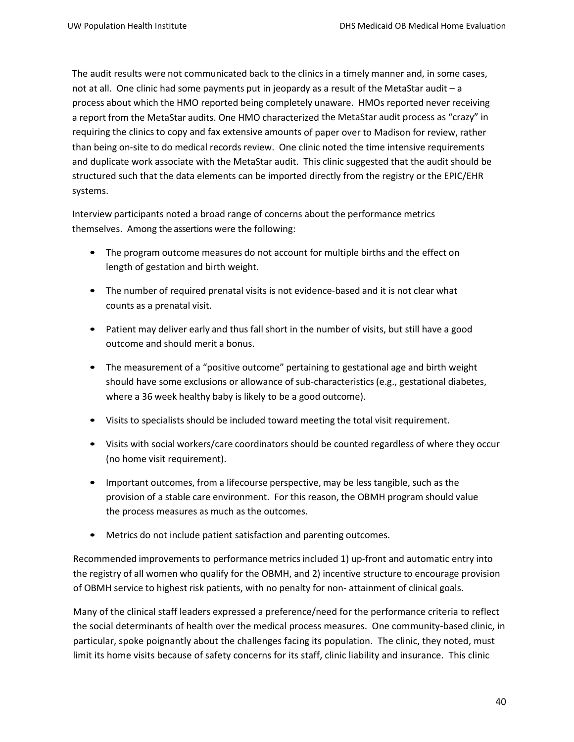The audit results were not communicated back to the clinics in a timely manner and, in some cases, not at all. One clinic had some payments put in jeopardy as a result of the MetaStar audit – a process about which the HMO reported being completely unaware. HMOs reported never receiving a report from the MetaStar audits. One HMO characterized the MetaStar audit process as "crazy" in requiring the clinics to copy and fax extensive amounts of paper over to Madison for review, rather than being on-site to do medical records review. One clinic noted the time intensive requirements and duplicate work associate with the MetaStar audit. This clinic suggested that the audit should be structured such that the data elements can be imported directly from the registry or the EPIC/EHR systems.

Interview participants noted a broad range of concerns about the performance metrics themselves. Among the assertions were the following:

- The program outcome measures do not account for multiple births and the effect on length of gestation and birth weight.
- The number of required prenatal visits is not evidence-based and it is not clear what counts as a prenatal visit.
- Patient may deliver early and thus fall short in the number of visits, but still have a good outcome and should merit a bonus.
- The measurement of a "positive outcome" pertaining to gestational age and birth weight should have some exclusions or allowance of sub-characteristics (e.g., gestational diabetes, where a 36 week healthy baby is likely to be a good outcome).
- Visits to specialists should be included toward meeting the total visit requirement.
- Visits with social workers/care coordinators should be counted regardless of where they occur (no home visit requirement).
- Important outcomes, from a lifecourse perspective, may be less tangible, such as the provision of a stable care environment. For this reason, the OBMH program should value the process measures as much as the outcomes.
- Metrics do not include patient satisfaction and parenting outcomes.

Recommended improvements to performance metrics included 1) up-front and automatic entry into the registry of all women who qualify for the OBMH, and 2) incentive structure to encourage provision of OBMH service to highest risk patients, with no penalty for non- attainment of clinical goals.

Many of the clinical staff leaders expressed a preference/need for the performance criteria to reflect the social determinants of health over the medical process measures. One community-based clinic, in particular, spoke poignantly about the challenges facing its population. The clinic, they noted, must limit its home visits because of safety concerns for its staff, clinic liability and insurance. This clinic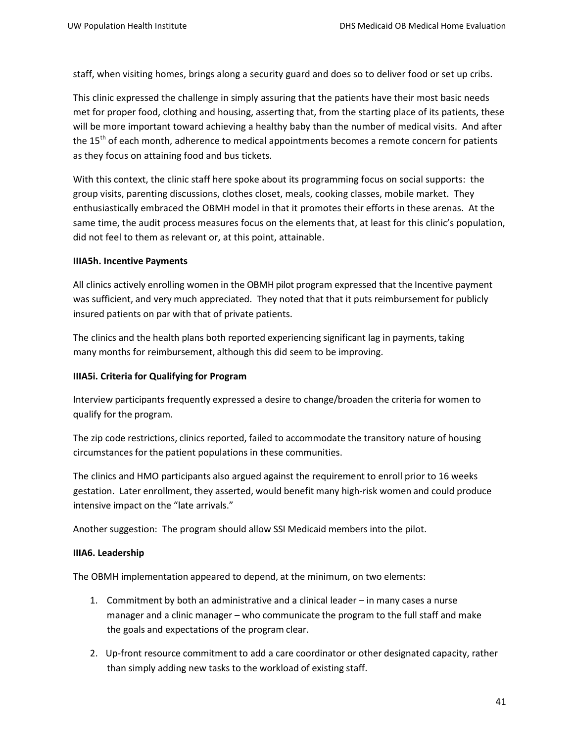staff, when visiting homes, brings along a security guard and does so to deliver food or set up cribs.

This clinic expressed the challenge in simply assuring that the patients have their most basic needs met for proper food, clothing and housing, asserting that, from the starting place of its patients, these will be more important toward achieving a healthy baby than the number of medical visits. And after the 15<sup>th</sup> of each month, adherence to medical appointments becomes a remote concern for patients as they focus on attaining food and bus tickets.

With this context, the clinic staff here spoke about its programming focus on social supports: the group visits, parenting discussions, clothes closet, meals, cooking classes, mobile market. They enthusiastically embraced the OBMH model in that it promotes their efforts in these arenas. At the same time, the audit process measures focus on the elements that, at least for this clinic's population, did not feel to them as relevant or, at this point, attainable.

### **IIIA5h. Incentive Payments**

All clinics actively enrolling women in the OBMH pilot program expressed that the Incentive payment was sufficient, and very much appreciated. They noted that that it puts reimbursement for publicly insured patients on par with that of private patients.

The clinics and the health plans both reported experiencing significant lag in payments, taking many months for reimbursement, although this did seem to be improving.

### **IIIA5i. Criteria for Qualifying for Program**

Interview participants frequently expressed a desire to change/broaden the criteria for women to qualify for the program.

The zip code restrictions, clinics reported, failed to accommodate the transitory nature of housing circumstances for the patient populations in these communities.

The clinics and HMO participants also argued against the requirement to enroll prior to 16 weeks gestation. Later enrollment, they asserted, would benefit many high-risk women and could produce intensive impact on the "late arrivals."

Another suggestion: The program should allow SSI Medicaid members into the pilot.

#### **IIIA6. Leadership**

The OBMH implementation appeared to depend, at the minimum, on two elements:

- 1. Commitment by both an administrative and a clinical leader in many cases a nurse manager and a clinic manager – who communicate the program to the full staff and make the goals and expectations of the program clear.
- 2. Up-front resource commitment to add a care coordinator or other designated capacity, rather than simply adding new tasks to the workload of existing staff.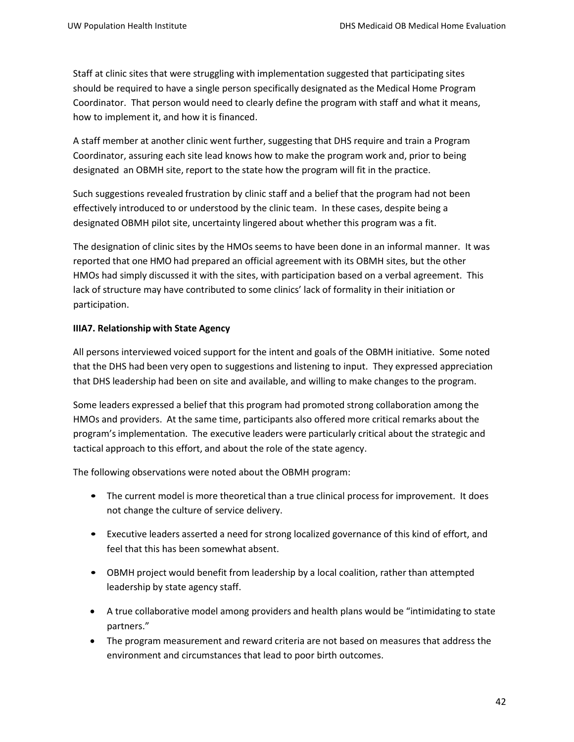Staff at clinic sites that were struggling with implementation suggested that participating sites should be required to have a single person specifically designated as the Medical Home Program Coordinator. That person would need to clearly define the program with staff and what it means, how to implement it, and how it is financed.

A staff member at another clinic went further, suggesting that DHS require and train a Program Coordinator, assuring each site lead knows how to make the program work and, prior to being designated an OBMH site, report to the state how the program will fit in the practice.

Such suggestions revealed frustration by clinic staff and a belief that the program had not been effectively introduced to or understood by the clinic team. In these cases, despite being a designated OBMH pilot site, uncertainty lingered about whether this program was a fit.

The designation of clinic sites by the HMOs seems to have been done in an informal manner. It was reported that one HMO had prepared an official agreement with its OBMH sites, but the other HMOs had simply discussed it with the sites, with participation based on a verbal agreement. This lack of structure may have contributed to some clinics' lack of formality in their initiation or participation.

## **IIIA7. Relationship with State Agency**

All persons interviewed voiced support for the intent and goals of the OBMH initiative. Some noted that the DHS had been very open to suggestions and listening to input. They expressed appreciation that DHS leadership had been on site and available, and willing to make changes to the program.

Some leaders expressed a belief that this program had promoted strong collaboration among the HMOs and providers. At the same time, participants also offered more critical remarks about the program'simplementation. The executive leaders were particularly critical about the strategic and tactical approach to this effort, and about the role of the state agency.

The following observations were noted about the OBMH program:

- The current model is more theoretical than a true clinical process for improvement. It does not change the culture of service delivery.
- Executive leaders asserted a need for strong localized governance of this kind of effort, and feel that this has been somewhat absent.
- OBMH project would benefit from leadership by a local coalition, rather than attempted leadership by state agency staff.
- A true collaborative model among providers and health plans would be "intimidating to state partners."
- The program measurement and reward criteria are not based on measures that address the environment and circumstances that lead to poor birth outcomes.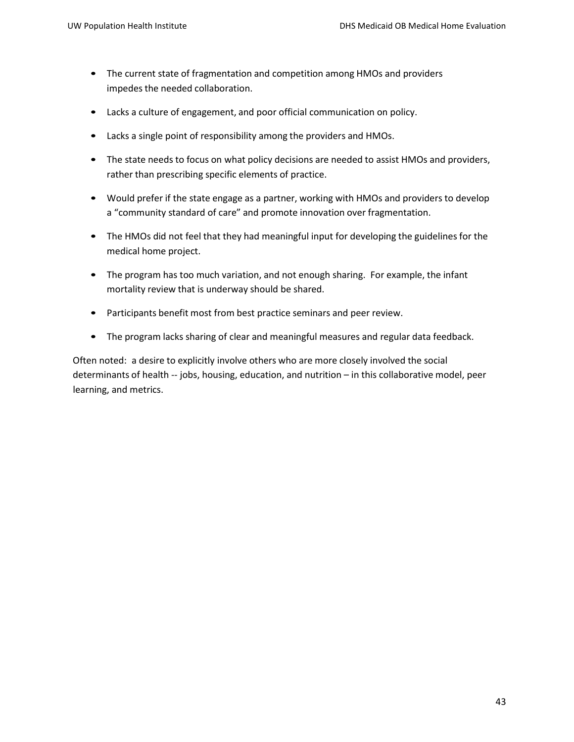- The current state of fragmentation and competition among HMOs and providers impedes the needed collaboration.
- Lacks a culture of engagement, and poor official communication on policy.
- Lacks a single point of responsibility among the providers and HMOs.
- The state needs to focus on what policy decisions are needed to assist HMOs and providers, rather than prescribing specific elements of practice.
- Would prefer if the state engage as a partner, working with HMOs and providers to develop a "community standard of care" and promote innovation over fragmentation.
- The HMOs did not feel that they had meaningful input for developing the guidelines for the medical home project.
- The program has too much variation, and not enough sharing. For example, the infant mortality review that is underway should be shared.
- Participants benefit most from best practice seminars and peer review.
- The program lacks sharing of clear and meaningful measures and regular data feedback.

Often noted: a desire to explicitly involve others who are more closely involved the social determinants of health -- jobs, housing, education, and nutrition – in this collaborative model, peer learning, and metrics.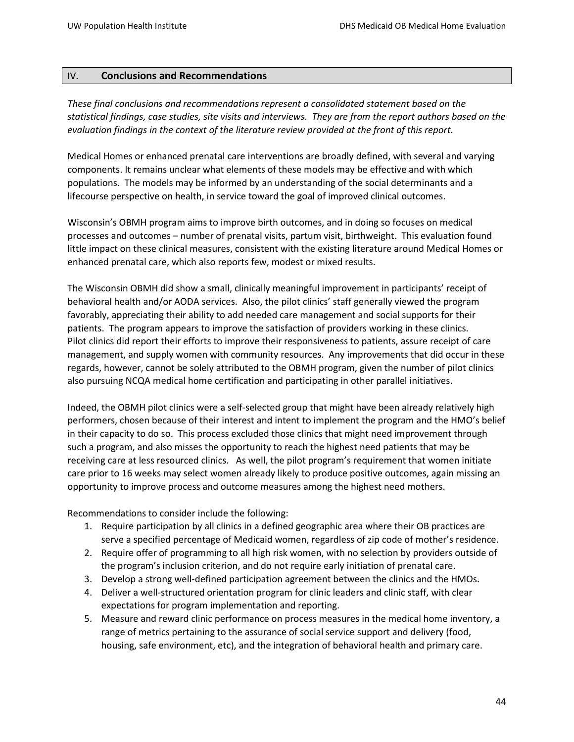### IV. **Conclusions and Recommendations**

*These final conclusions and recommendations represent a consolidated statement based on the statistical findings, case studies, site visits and interviews. They are from the report authors based on the evaluation findings in the context of the literature review provided at the front of this report.*

Medical Homes or enhanced prenatal care interventions are broadly defined, with several and varying components. It remains unclear what elements of these models may be effective and with which populations. The models may be informed by an understanding of the social determinants and a lifecourse perspective on health, in service toward the goal of improved clinical outcomes.

Wisconsin's OBMH program aims to improve birth outcomes, and in doing so focuses on medical processes and outcomes – number of prenatal visits, partum visit, birthweight. This evaluation found little impact on these clinical measures, consistent with the existing literature around Medical Homes or enhanced prenatal care, which also reports few, modest or mixed results.

The Wisconsin OBMH did show a small, clinically meaningful improvement in participants' receipt of behavioral health and/or AODA services. Also, the pilot clinics' staff generally viewed the program favorably, appreciating their ability to add needed care management and social supports for their patients. The program appears to improve the satisfaction of providers working in these clinics. Pilot clinics did report their efforts to improve their responsiveness to patients, assure receipt of care management, and supply women with community resources. Any improvements that did occur in these regards, however, cannot be solely attributed to the OBMH program, given the number of pilot clinics also pursuing NCQA medical home certification and participating in other parallel initiatives.

Indeed, the OBMH pilot clinics were a self-selected group that might have been already relatively high performers, chosen because of their interest and intent to implement the program and the HMO's belief in their capacity to do so. This process excluded those clinics that might need improvement through such a program, and also misses the opportunity to reach the highest need patients that may be receiving care at less resourced clinics. As well, the pilot program's requirement that women initiate care prior to 16 weeks may select women already likely to produce positive outcomes, again missing an opportunity to improve process and outcome measures among the highest need mothers.

Recommendations to consider include the following:

- 1. Require participation by all clinics in a defined geographic area where their OB practices are serve a specified percentage of Medicaid women, regardless of zip code of mother's residence.
- 2. Require offer of programming to all high risk women, with no selection by providers outside of the program's inclusion criterion, and do not require early initiation of prenatal care.
- 3. Develop a strong well-defined participation agreement between the clinics and the HMOs.
- 4. Deliver a well-structured orientation program for clinic leaders and clinic staff, with clear expectations for program implementation and reporting.
- 5. Measure and reward clinic performance on process measures in the medical home inventory, a range of metrics pertaining to the assurance of social service support and delivery (food, housing, safe environment, etc), and the integration of behavioral health and primary care.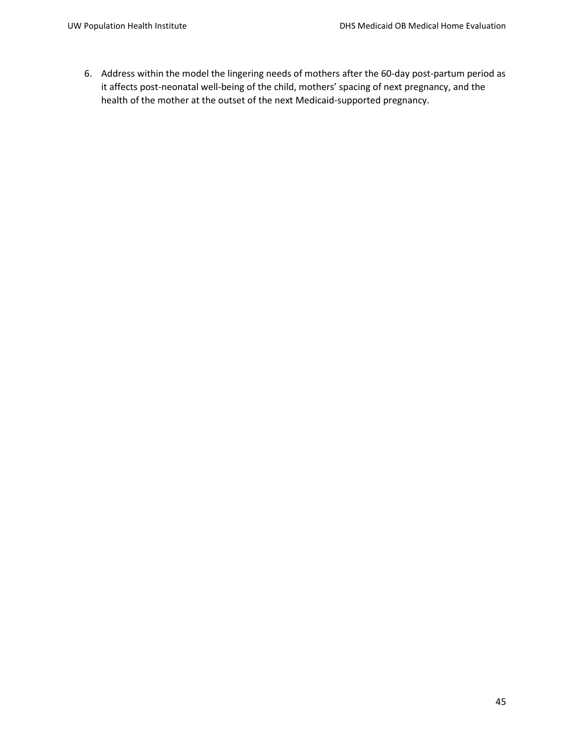6. Address within the model the lingering needs of mothers after the 60-day post-partum period as it affects post-neonatal well-being of the child, mothers' spacing of next pregnancy, and the health of the mother at the outset of the next Medicaid-supported pregnancy.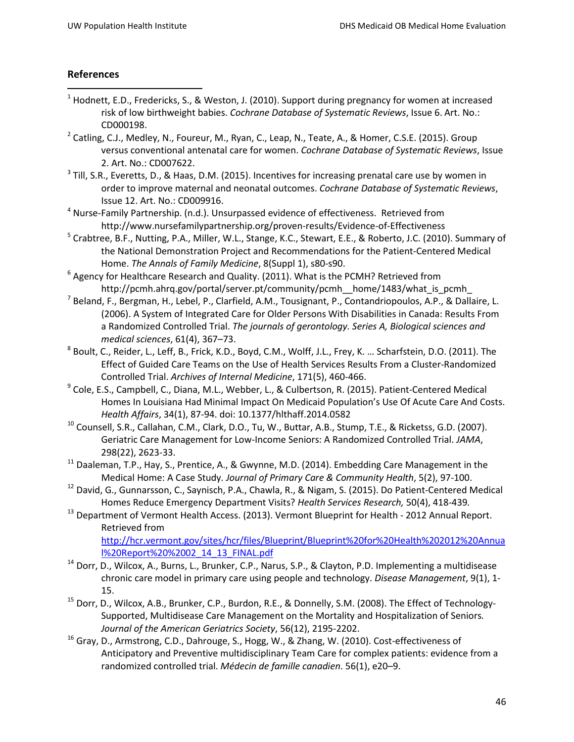# **References**

- $1$  Hodnett, E.D., Fredericks, S., & Weston, J. (2010). Support during pregnancy for women at increased risk of low birthweight babies. *Cochrane Database of Systematic Reviews*, Issue 6. Art. No.: CD000198.
- <sup>2</sup> Catling, C.J., Medley, N., Foureur, M., Ryan, C., Leap, N., Teate, A., & Homer, C.S.E. (2015). Group versus conventional antenatal care for women. *Cochrane Database of Systematic Reviews*, Issue 2. Art. No.: CD007622.
- <sup>3</sup> Till, S.R., Everetts, D., & Haas, D.M. (2015). Incentives for increasing prenatal care use by women in order to improve maternal and neonatal outcomes. *Cochrane Database of Systematic Reviews*, Issue 12. Art. No.: CD009916.
- $4$  Nurse-Family Partnership. (n.d.). Unsurpassed evidence of effectiveness. Retrieved from http://www.nursefamilypartnership.org/proven-results/Evidence-of-Effectiveness
- <sup>5</sup> Crabtree, B.F., Nutting, P.A., Miller, W.L., Stange, K.C., Stewart, E.E., & Roberto, J.C. (2010). Summary of the National Demonstration Project and Recommendations for the Patient-Centered Medical Home. *The Annals of Family Medicine*, 8(Suppl 1), s80-s90.
- $6$  Agency for Healthcare Research and Quality. (2011). What is the PCMH? Retrieved from http://pcmh.ahrq.gov/portal/server.pt/community/pcmh\_\_home/1483/what\_is\_pcmh\_
- <sup>7</sup> Beland, F., Bergman, H., Lebel, P., Clarfield, A.M., Tousignant, P., Contandriopoulos, A.P., & Dallaire, L. (2006). A System of Integrated Care for Older Persons With Disabilities in Canada: Results From a Randomized Controlled Trial. *The journals of gerontology. Series A, Biological sciences and medical sciences*, 61(4), 367–73.
- <sup>8</sup> Boult, C., Reider, L., Leff, B., Frick, K.D., Boyd, C.M., Wolff, J.L., Frey, K. … Scharfstein, D.O. (2011). The Effect of Guided Care Teams on the Use of Health Services Results From a Cluster-Randomized
- Controlled Trial. *Archives of Internal Medicine*, 171(5), 460-466.<br><sup>9</sup> Cole, E.S., Campbell, C., Diana, M.L., Webber, L., & Culbertson, R. (2015). Patient-Centered Medical Homes In Louisiana Had Minimal Impact On Medicaid Population's Use Of Acute Care And Costs. *Health Affairs*, 34(1), 87-94. doi: 10.1377/hlthaff.2014.0582
- <sup>10</sup> Counsell, S.R., Callahan, C.M., Clark, D.O., Tu, W., Buttar, A.B., Stump, T.E., & Ricketss, G.D. (2007). Geriatric Care Management for Low-Income Seniors: A Randomized Controlled Trial. *JAMA*, 298(22), 2623-33.
- $11$  Daaleman, T.P., Hay, S., Prentice, A., & Gwynne, M.D. (2014). Embedding Care Management in the
- Medical Home: A Case Study. Journal of Primary Care & Community Health, 5(2), 97-100.<br><sup>12</sup> David, G., Gunnarsson, C., Saynisch, P.A., Chawla, R., & Nigam, S. (2015). Do Patient-Centered Medical Homes Reduce Emergency Department Visits? *Health Services Research,* 50(4), 418-439*.*
- <sup>13</sup> Department of Vermont Health Access. (2013). Vermont Blueprint for Health 2012 Annual Report. Retrieved from

[http://hcr.vermont.gov/sites/hcr/files/Blueprint/Blueprint%20for%20Health%202012%20Annua](http://hcr.vermont.gov/sites/hcr/files/Blueprint/Blueprint%20for%20Health%202012%20Annual%20Report%20%2002_14_13_FINAL.pdf) [l%20Report%20%2002\\_14\\_13\\_FINAL.pdf](http://hcr.vermont.gov/sites/hcr/files/Blueprint/Blueprint%20for%20Health%202012%20Annual%20Report%20%2002_14_13_FINAL.pdf)

- <sup>14</sup> Dorr, D., Wilcox, A., Burns, L., Brunker, C.P., Narus, S.P., & Clayton, P.D. Implementing a multidisease chronic care model in primary care using people and technology. *Disease Management*, 9(1), 1- 15.
- <sup>15</sup> Dorr, D., Wilcox, A.B., Brunker, C.P., Burdon, R.E., & Donnelly, S.M. (2008). The Effect of Technology-Supported, Multidisease Care Management on the Mortality and Hospitalization of Seniors*. Journal of the American Geriatrics Society*, 56(12), 2195-2202.
- <sup>16</sup> Gray, D., Armstrong, C.D., Dahrouge, S., Hogg, W., & Zhang, W. (2010). Cost-effectiveness of Anticipatory and Preventive multidisciplinary Team Care for complex patients: evidence from a randomized controlled trial. *Médecin de famille canadien*. 56(1), e20–9.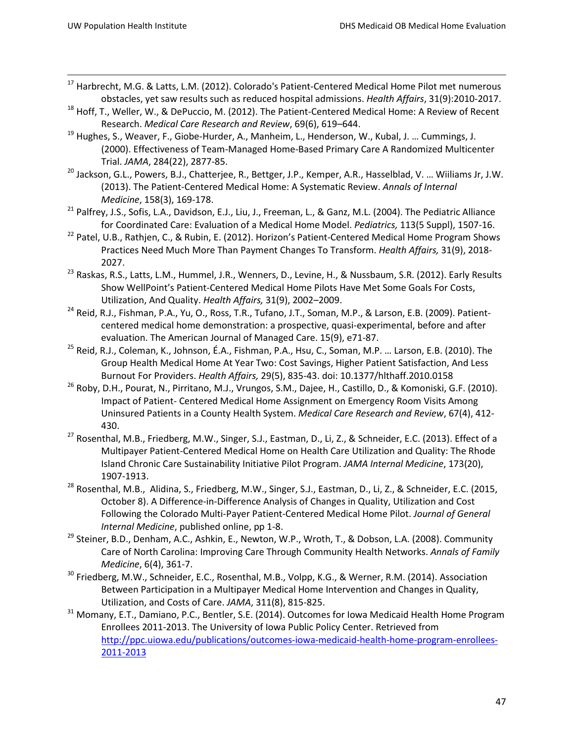- <span id="page-47-16"></span><span id="page-47-0"></span> 17 Harbrecht, M.G. & Latts, L.M. (2012). Colorado's Patient-Centered Medical Home Pilot met numerous obstacles, yet saw results such as reduced hospital admissions. *Health Affairs*, 31(9):2010-2017.
- <span id="page-47-30"></span><span id="page-47-17"></span><sup>18</sup> Hoff, T., Weller, W., & DePuccio, M. (2012). The Patient-Centered Medical Home: A Review of Recent Research. *Medical Care Research and Review*, 69(6), 619–644.
- <span id="page-47-31"></span><span id="page-47-18"></span><span id="page-47-1"></span><sup>19</sup> Hughes, S., Weaver, F., Giobe-Hurder, A., Manheim, L., Henderson, W., Kubal, J. ... Cummings, J. (2000). Effectiveness of Team-Managed Home-Based Primary Care A Randomized Multicenter Trial. *JAMA*, 284(22), 2877-85.
- <span id="page-47-32"></span><span id="page-47-19"></span><span id="page-47-2"></span><sup>20</sup> Jackson, G.L., Powers, B.J., Chatterjee, R., Bettger, J.P., Kemper, A.R., Hasselblad, V. ... Wiiliams Jr, J.W. (2013). The Patient-Centered Medical Home: A Systematic Review. *Annals of Internal Medicine*, 158(3), 169-178.
- <span id="page-47-20"></span><span id="page-47-3"></span><sup>21</sup> Palfrey, J.S., Sofis, L.A., Davidson, E.J., Liu, J., Freeman, L., & Ganz, M.L. (2004). The Pediatric Alliance for Coordinated Care: Evaluation of a Medical Home Model. *Pediatrics,* 113(5 Suppl), 1507-16.
- <span id="page-47-33"></span><span id="page-47-21"></span><span id="page-47-4"></span><sup>22</sup> Patel, U.B., Rathjen, C., & Rubin, E. (2012). Horizon's Patient-Centered Medical Home Program Shows Practices Need Much More Than Payment Changes To Transform. *Health Affairs,* 31(9), 2018- 2027.
- <span id="page-47-34"></span><span id="page-47-22"></span><span id="page-47-5"></span><sup>23</sup> Raskas, R.S., Latts, L.M., Hummel, J.R., Wenners, D., Levine, H., & Nussbaum, S.R. (2012). Early Results Show WellPoint's Patient-Centered Medical Home Pilots Have Met Some Goals For Costs, Utilization, And Quality. *Health Affairs,* 31(9), 2002–2009.
- <span id="page-47-35"></span><span id="page-47-23"></span><span id="page-47-6"></span><sup>24</sup> Reid, R.J., Fishman, P.A., Yu, O., Ross, T.R., Tufano, J.T., Soman, M.P., & Larson, E.B. (2009). Patientcentered medical home demonstration: a prospective, quasi-experimental, before and after evaluation. The American Journal of Managed Care. 15(9), e71-87.
- <span id="page-47-24"></span><span id="page-47-7"></span><sup>25</sup> Reid, R.J., Coleman, K., Johnson, É.A., Fishman, P.A., Hsu, C., Soman, M.P. ... Larson, E.B. (2010). The Group Health Medical Home At Year Two: Cost Savings, Higher Patient Satisfaction, And Less Burnout For Providers. *Health Affairs,* 29(5), 835-43. doi: 10.1377/hlthaff.2010.0158
- <span id="page-47-36"></span><span id="page-47-25"></span><span id="page-47-8"></span><sup>26</sup> Roby, D.H., Pourat, N., Pirritano, M.J., Vrungos, S.M., Dajee, H., Castillo, D., & Komoniski, G.F. (2010). Impact of Patient- Centered Medical Home Assignment on Emergency Room Visits Among Uninsured Patients in a County Health System. *Medical Care Research and Review*, 67(4), 412-
- <span id="page-47-37"></span><span id="page-47-26"></span><span id="page-47-9"></span>430.<br><sup>27</sup> Rosenthal, M.B., Friedberg, M.W., Singer, S.J., Eastman, D., Li, Z., & Schneider, E.C. (2013). Effect of a Multipayer Patient-Centered Medical Home on Health Care Utilization and Quality: The Rhode Island Chronic Care Sustainability Initiative Pilot Program. *JAMA Internal Medicine*, 173(20), 1907-1913.
- <span id="page-47-39"></span><span id="page-47-38"></span><span id="page-47-11"></span><span id="page-47-10"></span><sup>28</sup> Rosenthal, M.B., Alidina, S., Friedberg, M.W., Singer, S.J., Eastman, D., Li, Z., & Schneider, E.C. (2015, October 8). A Difference-in-Difference Analysis of Changes in Quality, Utilization and Cost Following the Colorado Multi-Payer Patient-Centered Medical Home Pilot. *Journal of General Internal Medicine*, published online, pp 1-8.
- <span id="page-47-27"></span><span id="page-47-12"></span><sup>29</sup> Steiner, B.D., Denham, A.C., Ashkin, E., Newton, W.P., Wroth, T., & Dobson, L.A. (2008). Community Care of North Carolina: Improving Care Through Community Health Networks. *Annals of Family Medicine*, 6(4), 361-7.
- <span id="page-47-40"></span><span id="page-47-28"></span><span id="page-47-13"></span><sup>30</sup> Friedberg, M.W., Schneider, E.C., Rosenthal, M.B., Volpp, K.G., & Werner, R.M. (2014). Association Between Participation in a Multipayer Medical Home Intervention and Changes in Quality, Utilization, and Costs of Care. *JAMA*, 311(8), 815-825.
- <span id="page-47-41"></span><span id="page-47-29"></span><span id="page-47-15"></span><span id="page-47-14"></span><sup>31</sup> Momany, E.T., Damiano, P.C., Bentler, S.E. (2014). Outcomes for Iowa Medicaid Health Home Program Enrollees 2011-2013. The University of Iowa Public Policy Center. Retrieved from [http://ppc.uiowa.edu/publications/outcomes-iowa-medicaid-health-home-program-enrollees-](http://ppc.uiowa.edu/publications/outcomes-iowa-medicaid-health-home-program-enrollees-2011-2013)[2011-2013](http://ppc.uiowa.edu/publications/outcomes-iowa-medicaid-health-home-program-enrollees-2011-2013)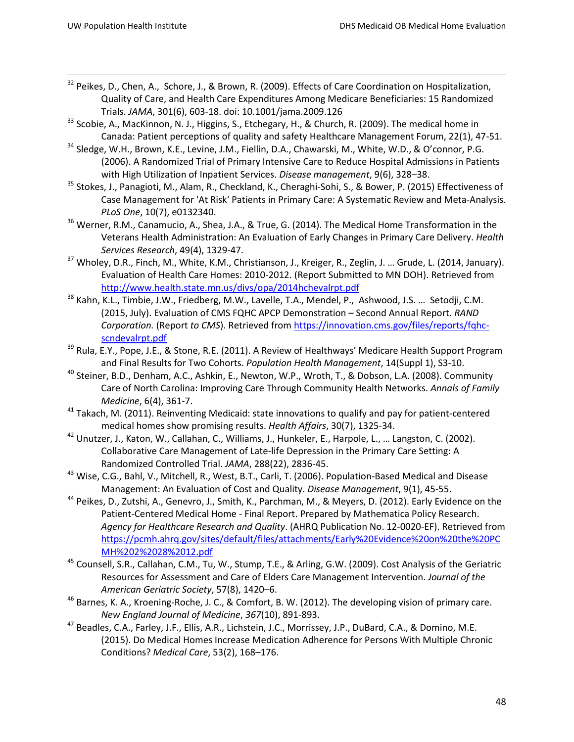- <span id="page-48-1"></span><sup>32</sup> Peikes, D., Chen, A., Schore, J., & Brown, R. (2009). Effects of Care Coordination on Hospitalization, Quality of Care, and Health Care Expenditures Among Medicare Beneficiaries: 15 Randomized Trials. *JAMA*, 301(6), 603-18. doi: 10.1001/jama.2009.126
- <span id="page-48-16"></span><sup>33</sup> Scobie, A., MacKinnon, N. J., Higgins, S., Etchegary, H., & Church, R. (2009). The medical home in Canada: Patient perceptions of quality and safety Healthcare Management Forum, 22(1), 47-51.
- <span id="page-48-28"></span><span id="page-48-2"></span><sup>34</sup> Sledge, W.H., Brown, K.E., Levine, J.M., Fiellin, D.A., Chawarski, M., White, W.D., & O'connor, P.G. (2006). A Randomized Trial of Primary Intensive Care to Reduce Hospital Admissions in Patients with High Utilization of Inpatient Services. *Disease management*, 9(6), 328–38.
- <span id="page-48-29"></span><span id="page-48-17"></span><span id="page-48-3"></span><sup>35</sup> Stokes, J., Panagioti, M., Alam, R., Checkland, K., Cheraghi-Sohi, S., & Bower, P. (2015) Effectiveness of Case Management for 'At Risk' Patients in Primary Care: A Systematic Review and Meta-Analysis. *PLoS One*, 10(7), e0132340.
- <span id="page-48-18"></span><span id="page-48-4"></span><sup>36</sup> Werner, R.M., Canamucio, A., Shea, J.A., & True, G. (2014). The Medical Home Transformation in the Veterans Health Administration: An Evaluation of Early Changes in Primary Care Delivery. *Health Services Research*, 49(4), 1329-47.
- <span id="page-48-19"></span><span id="page-48-5"></span><sup>37</sup> Wholey, D.R., Finch, M., White, K.M., Christianson, J., Kreiger, R., Zeglin, J. ... Grude, L. (2014, January). Evaluation of Health Care Homes: 2010-2012. (Report Submitted to MN DOH). Retrieved from <http://www.health.state.mn.us/divs/opa/2014hchevalrpt.pdf>
- <span id="page-48-21"></span><span id="page-48-20"></span><span id="page-48-6"></span><sup>38</sup> Kahn, K.L., Timbie, J.W., Friedberg, M.W., Lavelle, T.A., Mendel, P., Ashwood, J.S. ... Setodji, C.M. (2015, July). Evaluation of CMS FQHC APCP Demonstration – Second Annual Report. *RAND Corporation.* (Report *to CMS*). Retrieved fro[m https://innovation.cms.gov/files/reports/fqhc](https://innovation.cms.gov/files/reports/fqhc-scndevalrpt.pdf)[scndevalrpt.pdf](https://innovation.cms.gov/files/reports/fqhc-scndevalrpt.pdf)
- <span id="page-48-7"></span><sup>39</sup> Rula, E.Y., Pope, J.E., & Stone, R.E. (2011). A Review of Healthways' Medicare Health Support Program and Final Results for Two Cohorts. *Population Health Management*, 14(Suppl 1), S3-10.
- <span id="page-48-8"></span><sup>40</sup> Steiner, B.D., Denham, A.C., Ashkin, E., Newton, W.P., Wroth, T., & Dobson, L.A. (2008). Community Care of North Carolina: Improving Care Through Community Health Networks. *Annals of Family Medicine*, 6(4), 361-7.
- <span id="page-48-22"></span><span id="page-48-9"></span><sup>41</sup> Takach, M. (2011). Reinventing Medicaid: state innovations to qualify and pay for patient-centered medical homes show promising results. *Health Affairs*, 30(7), 1325-34.<br><sup>42</sup> Unutzer, J., Katon, W., Callahan, C., Williams, J., Hunkeler, E., Harpole, L., ... Langston, C. (2002).
- <span id="page-48-10"></span>Collaborative Care Management of Late-life Depression in the Primary Care Setting: A Randomized Controlled Trial. *JAMA*, 288(22), 2836-45.
- <span id="page-48-23"></span><span id="page-48-11"></span><sup>43</sup> Wise, C.G., Bahl, V., Mitchell, R., West, B.T., Carli, T. (2006). Population-Based Medical and Disease Management: An Evaluation of Cost and Quality. *Disease Management*, 9(1), 45-55.
- <span id="page-48-24"></span><span id="page-48-12"></span><sup>44</sup> Peikes, D., Zutshi, A., Genevro, J., Smith, K., Parchman, M., & Meyers, D. (2012). Early Evidence on the Patient-Centered Medical Home - Final Report. Prepared by Mathematica Policy Research. *Agency for Healthcare Research and Quality*. (AHRQ Publication No. 12-0020-EF). Retrieved from [https://pcmh.ahrq.gov/sites/default/files/attachments/Early%20Evidence%20on%20the%20PC](https://pcmh.ahrq.gov/sites/default/files/attachments/Early%20Evidence%20on%20the%20PCMH%202%2028%2012.pdf) [MH%202%2028%2012.pdf](https://pcmh.ahrq.gov/sites/default/files/attachments/Early%20Evidence%20on%20the%20PCMH%202%2028%2012.pdf)
- <span id="page-48-30"></span><span id="page-48-25"></span><span id="page-48-14"></span><span id="page-48-13"></span><sup>45</sup> Counsell, S.R., Callahan, C.M., Tu, W., Stump, T.E., & Arling, G.W. (2009). Cost Analysis of the Geriatric Resources for Assessment and Care of Elders Care Management Intervention. *Journal of the American Geriatric Society*, 57(8), 1420–6.
- <span id="page-48-26"></span> $46$  Barnes, K. A., Kroening-Roche, J. C., & Comfort, B. W. (2012). The developing vision of primary care. *New England Journal of Medicine*, *367*(10), 891-893.
- <span id="page-48-27"></span><span id="page-48-15"></span><span id="page-48-0"></span><sup>47</sup> Beadles, C.A., Farley, J.F., Ellis, A.R., Lichstein, J.C., Morrissey, J.P., DuBard, C.A., & Domino, M.E. (2015). Do Medical Homes Increase Medication Adherence for Persons With Multiple Chronic Conditions? *Medical Care*, 53(2), 168–176.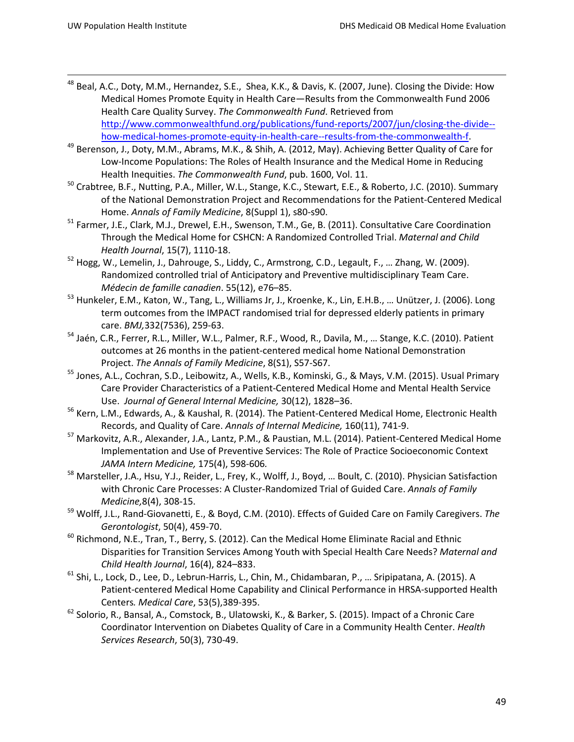- <span id="page-49-1"></span><sup>48</sup> Beal, A.C., Doty, M.M., Hernandez, S.E., Shea, K.K., & Davis, K. (2007, June). Closing the Divide: How Medical Homes Promote Equity in Health Care—Results from the Commonwealth Fund 2006 Health Care Quality Survey. *The Commonwealth Fund*. Retrieved from [http://www.commonwealthfund.org/publications/fund-reports/2007/jun/closing-the-divide-](http://www.commonwealthfund.org/publications/fund-reports/2007/jun/closing-the-divide--how-medical-homes-promote-equity-in-health-care--results-from-the-commonwealth-f) [how-medical-homes-promote-equity-in-health-care--results-from-the-commonwealth-f.](http://www.commonwealthfund.org/publications/fund-reports/2007/jun/closing-the-divide--how-medical-homes-promote-equity-in-health-care--results-from-the-commonwealth-f)
- <span id="page-49-2"></span><sup>49</sup> Berenson, J., Doty, M.M., Abrams, M.K., & Shih, A. (2012, May). Achieving Better Quality of Care for Low-Income Populations: The Roles of Health Insurance and the Medical Home in Reducing Health Inequities. *The Commonwealth Fund*, pub. 1600, Vol. 11.
- <sup>50</sup> Crabtree, B.F., Nutting, P.A., Miller, W.L., Stange, K.C., Stewart, E.E., & Roberto, J.C. (2010). Summary of the National Demonstration Project and Recommendations for the Patient-Centered Medical
- Home. *Annals of Family Medicine*, 8(Suppl 1), s80-s90.<br><sup>51</sup> Farmer, J.E., Clark, M.J., Drewel, E.H., Swenson, T.M., Ge, B. (2011). Consultative Care Coordination Through the Medical Home for CSHCN: A Randomized Controlled Trial. *Maternal and Child Health Journal*, 15(7), 1110-18.
- <sup>52</sup> Hogg, W., Lemelin, J., Dahrouge, S., Liddy, C., Armstrong, C.D., Legault, F., ... Zhang, W. (2009). Randomized controlled trial of Anticipatory and Preventive multidisciplinary Team Care. *Médecin de famille canadien*. 55(12), e76–85.
- <sup>53</sup> Hunkeler, E.M., Katon, W., Tang, L., Williams Jr, J., Kroenke, K., Lin, E.H.B., … Unützer, J. (2006). Long term outcomes from the IMPACT randomised trial for depressed elderly patients in primary care. *BMJ,*332(7536), 259-63.
- <sup>54</sup> Jaén, C.R., Ferrer, R.L., Miller, W.L., Palmer, R.F., Wood, R., Davila, M., … Stange, K.C. (2010). Patient outcomes at 26 months in the patient-centered medical home National Demonstration Project. *The Annals of Family Medicine*, 8(S1), S57-S67.
- <sup>55</sup> Jones, A.L., Cochran, S.D., Leibowitz, A., Wells, K.B., Kominski, G., & Mays, V.M. (2015). Usual Primary Care Provider Characteristics of a Patient-Centered Medical Home and Mental Health Service Use. *Journal of General Internal Medicine,* 30(12), 1828–36.
- <sup>56</sup> Kern, L.M., Edwards, A., & Kaushal, R. (2014). The Patient-Centered Medical Home, Electronic Health Records, and Quality of Care. *Annals of Internal Medicine,* 160(11), 741-9. 57 Markovitz, A.R., Alexander, J.A., Lantz, P.M., & Paustian, M.L. (2014). Patient-Centered Medical Home
- Implementation and Use of Preventive Services: The Role of Practice Socioeconomic Context *JAMA Intern Medicine,* 175(4), 598-606*.*
- <sup>58</sup> Marsteller, J.A., Hsu, Y.J., Reider, L., Frey, K., Wolff, J., Boyd, ... Boult, C. (2010). Physician Satisfaction with Chronic Care Processes: A Cluster-Randomized Trial of Guided Care. *Annals of Family Medicine,*8(4), 308-15.
- <sup>59</sup> Wolff, J.L., Rand-Giovanetti, E., & Boyd, C.M. (2010). Effects of Guided Care on Family Caregivers. *The Gerontologist*, 50(4), 459-70.
- $60$  Richmond, N.E., Tran, T., Berry, S. (2012). Can the Medical Home Eliminate Racial and Ethnic Disparities for Transition Services Among Youth with Special Health Care Needs? *Maternal and*
- *Child Health Journal*, 16(4), 824–833.<br><sup>61</sup> Shi, L., Lock, D., Lee, D., Lebrun-Harris, L., Chin, M., Chidambaran, P., ... Sripipatana, A. (2015). A Patient-centered Medical Home Capability and Clinical Performance in HRSA-supported Health
- <span id="page-49-0"></span>Centers. *Medical Care*, 53(5), 389-395.<br><sup>62</sup> Solorio, R., Bansal, A., Comstock, B., Ulatowski, K., & Barker, S. (2015). Impact of a Chronic Care Coordinator Intervention on Diabetes Quality of Care in a Community Health Center. *Health Services Research*, 50(3), 730-49.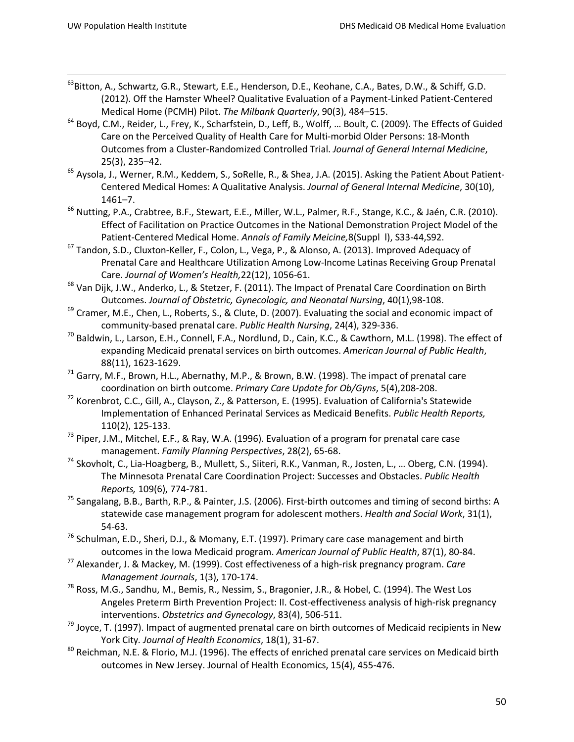- <sup>63</sup>Bitton, A., Schwartz, G.R., Stewart, E.E., Henderson, D.E., Keohane, C.A., Bates, D.W., & Schiff, G.D. (2012). Off the Hamster Wheel? Qualitative Evaluation of a Payment-Linked Patient-Centered Medical Home (PCMH) Pilot. *The Milbank Quarterly*, 90(3), 484–515.
- <sup>64</sup> Boyd, C.M., Reider, L., Frey, K., Scharfstein, D., Leff, B., Wolff, ... Boult, C. (2009). The Effects of Guided Care on the Perceived Quality of Health Care for Multi-morbid Older Persons: 18-Month Outcomes from a Cluster-Randomized Controlled Trial. *Journal of General Internal Medicine*,
- 25(3), 235–42.<br><sup>65</sup> Aysola, J., Werner, R.M., Keddem, S., SoRelle, R., & Shea, J.A. (2015). Asking the Patient About Patient-Centered Medical Homes: A Qualitative Analysis. *Journal of General Internal Medicine*, 30(10), 1461–7.
- <sup>66</sup> Nutting, P.A., Crabtree, B.F., Stewart, E.E., Miller, W.L., Palmer, R.F., Stange, K.C., & Jaén, C.R. (2010). Effect of Facilitation on Practice Outcomes in the National Demonstration Project Model of the Patient-Centered Medical Home. *Annals of Family Meicine,*8(Suppl l), S33-44,S92.
- <sup>67</sup> Tandon, S.D., Cluxton-Keller, F., Colon, L., Vega, P., & Alonso, A. (2013). Improved Adequacy of Prenatal Care and Healthcare Utilization Among Low-Income Latinas Receiving Group Prenatal Care. *Journal of Women's Health,*22(12), 1056-61.
- <sup>68</sup> Van Dijk, J.W., Anderko, L., & Stetzer, F. (2011). The Impact of Prenatal Care Coordination on Birth Outcomes. *Journal of Obstetric, Gynecologic, and Neonatal Nursing*, 40(1),98-108.
- <sup>69</sup> Cramer, M.E., Chen, L., Roberts, S., & Clute, D. (2007). Evaluating the social and economic impact of community-based prenatal care. *Public Health Nursing*, 24(4), 329-336.
- $^{70}$  Baldwin, L., Larson, E.H., Connell, F.A., Nordlund, D., Cain, K.C., & Cawthorn, M.L. (1998). The effect of expanding Medicaid prenatal services on birth outcomes. *American Journal of Public Health*, 88(11), 1623-1629.
- $71$  Garry, M.F., Brown, H.L., Abernathy, M.P., & Brown, B.W. (1998). The impact of prenatal care
- coordination on birth outcome. *Primary Care Update for Ob/Gyns*, 5(4),208-208. 72 Korenbrot, C.C., Gill, A., Clayson, Z., & Patterson, E. (1995). Evaluation of California's Statewide Implementation of Enhanced Perinatal Services as Medicaid Benefits. *Public Health Reports,* 110(2), 125-133.
- <sup>73</sup> Piper, J.M., Mitchel, E.F., & Ray, W.A. (1996). Evaluation of a program for prenatal care case management. *Family Planning Perspectives*, 28(2), 65-68.
- <sup>74</sup> Skovholt, C., Lia-Hoagberg, B., Mullett, S., Siiteri, R.K., Vanman, R., Josten, L., ... Oberg, C.N. (1994). The Minnesota Prenatal Care Coordination Project: Successes and Obstacles. *Public Health Reports,* 109(6), 774-781.
- <sup>75</sup> Sangalang, B.B., Barth, R.P., & Painter, J.S. (2006). First-birth outcomes and timing of second births: A statewide case management program for adolescent mothers. *Health and Social Work*, 31(1), 54-63.
- <sup>76</sup> Schulman, E.D., Sheri, D.J., & Momany, E.T. (1997). Primary care case management and birth outcomes in the Iowa Medicaid program. *American Journal of Public Health*, 87(1), 80-84.
- <sup>77</sup> Alexander, J. & Mackey, M. (1999). Cost effectiveness of a high-risk pregnancy program. *Care Management Journals*, 1(3), 170-174.
- <sup>78</sup> Ross, M.G., Sandhu, M., Bemis, R., Nessim, S., Bragonier, J.R., & Hobel, C. (1994). The West Los Angeles Preterm Birth Prevention Project: II. Cost-effectiveness analysis of high-risk pregnancy interventions. *Obstetrics and Gynecology*, 83(4), 506-511.
- $79$  Joyce, T. (1997). Impact of augmented prenatal care on birth outcomes of Medicaid recipients in New York City*. Journal of Health Economics*, 18(1), 31-67.
- <sup>80</sup> Reichman, N.E. & Florio, M.J. (1996). The effects of enriched prenatal care services on Medicaid birth outcomes in New Jersey. Journal of Health Economics, 15(4), 455-476.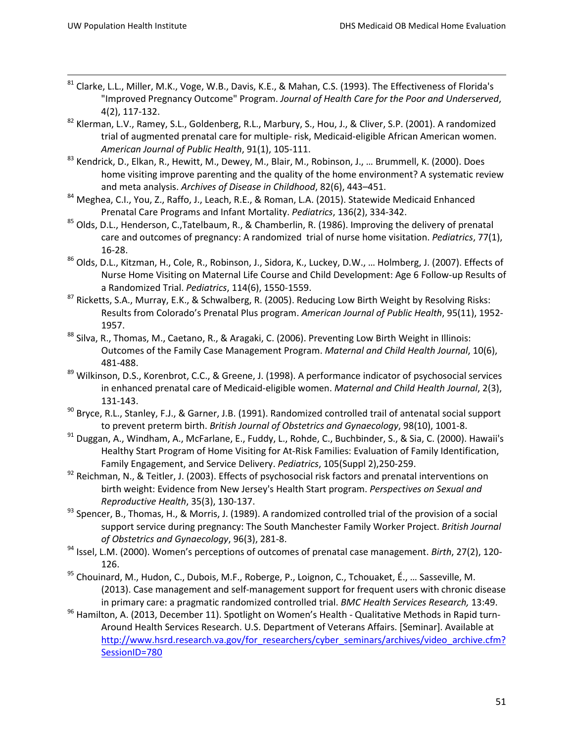- 81 Clarke, L.L., Miller, M.K., Voge, W.B., Davis, K.E., & Mahan, C.S. (1993). The Effectiveness of Florida's "Improved Pregnancy Outcome" Program. *Journal of Health Care for the Poor and Underserved*, 4(2), 117-132.
- <sup>82</sup> Klerman, L.V., Ramey, S.L., Goldenberg, R.L., Marbury, S., Hou, J., & Cliver, S.P. (2001). A randomized trial of augmented prenatal care for multiple- risk, Medicaid-eligible African American women. *American Journal of Public Health*, 91(1), 105-111.
- 83 Kendrick, D., Elkan, R., Hewitt, M., Dewey, M., Blair, M., Robinson, J., ... Brummell, K. (2000). Does home visiting improve parenting and the quality of the home environment? A systematic review
- and meta analysis. *Archives of Disease in Childhood*, 82(6), 443–451.<br><sup>84</sup> Meghea, C.I., You, Z., Raffo, J., Leach, R.E., & Roman, L.A. (2015). Statewide Medicaid Enhanced Prenatal Care Programs and Infant Mortality. *Pediatrics*, 136(2), 334-342.
- 85 Olds, D.L., Henderson, C.,Tatelbaum, R., & Chamberlin, R. (1986). Improving the delivery of prenatal care and outcomes of pregnancy: A randomized trial of nurse home visitation. *Pediatrics*, 77(1), 16-28.
- <sup>86</sup> Olds, D.L., Kitzman, H., Cole, R., Robinson, J., Sidora, K., Luckey, D.W., … Holmberg, J. (2007). Effects of Nurse Home Visiting on Maternal Life Course and Child Development: Age 6 Follow-up Results of a Randomized Trial. *Pediatrics*, 114(6), 1550-1559.
- <sup>87</sup> Ricketts, S.A., Murray, E.K., & Schwalberg, R. (2005). Reducing Low Birth Weight by Resolving Risks: Results from Colorado's Prenatal Plus program. *American Journal of Public Health*, 95(11), 1952- 1957.
- 88 Silva, R., Thomas, M., Caetano, R., & Aragaki, C. (2006). Preventing Low Birth Weight in Illinois: Outcomes of the Family Case Management Program. *Maternal and Child Health Journal*, 10(6), 481-488.
- 89 Wilkinson, D.S., Korenbrot, C.C., & Greene, J. (1998). A performance indicator of psychosocial services in enhanced prenatal care of Medicaid-eligible women. *Maternal and Child Health Journal*, 2(3), 131-143.
- 90 Bryce, R.L., Stanley, F.J., & Garner, J.B. (1991). Randomized controlled trail of antenatal social support to prevent preterm birth. *British Journal of Obstetrics and Gynaecology*, 98(10), 1001-8.
- <sup>91</sup> Duggan, A., Windham, A., McFarlane, E., Fuddy, L., Rohde, C., Buchbinder, S., & Sia, C. (2000). Hawaii's Healthy Start Program of Home Visiting for At-Risk Families: Evaluation of Family Identification, Family Engagement, and Service Delivery. *Pediatrics*, 105(Suppl 2),250-259.
- 92 Reichman, N., & Teitler, J. (2003). Effects of psychosocial risk factors and prenatal interventions on birth weight: Evidence from New Jersey's Health Start program. *Perspectives on Sexual and Reproductive Health*, 35(3), 130-137.
- 93 Spencer, B., Thomas, H., & Morris, J. (1989). A randomized controlled trial of the provision of a social support service during pregnancy: The South Manchester Family Worker Project. *British Journal of Obstetrics and Gynaecology*, 96(3), 281-8.
- <sup>94</sup> Issel, L.M. (2000). Women's perceptions of outcomes of prenatal case management. *Birth*, 27(2), 120- 126.
- <sup>95</sup> Chouinard, M., Hudon, C., Dubois, M.F., Roberge, P., Loignon, C., Tchouaket, É., ... Sasseville, M. (2013). Case management and self-management support for frequent users with chronic disease in primary care: a pragmatic randomized controlled trial. *BMC Health Services Research,* 13:49.
- 96 Hamilton, A. (2013, December 11). Spotlight on Women's Health Qualitative Methods in Rapid turn-Around Health Services Research. U.S. Department of Veterans Affairs. [Seminar]. Available at [http://www.hsrd.research.va.gov/for\\_researchers/cyber\\_seminars/archives/video\\_archive.cfm?](http://www.hsrd.research.va.gov/for_researchers/cyber_seminars/archives/video_archive.cfm?SessionID=780) [SessionID=780](http://www.hsrd.research.va.gov/for_researchers/cyber_seminars/archives/video_archive.cfm?SessionID=780)